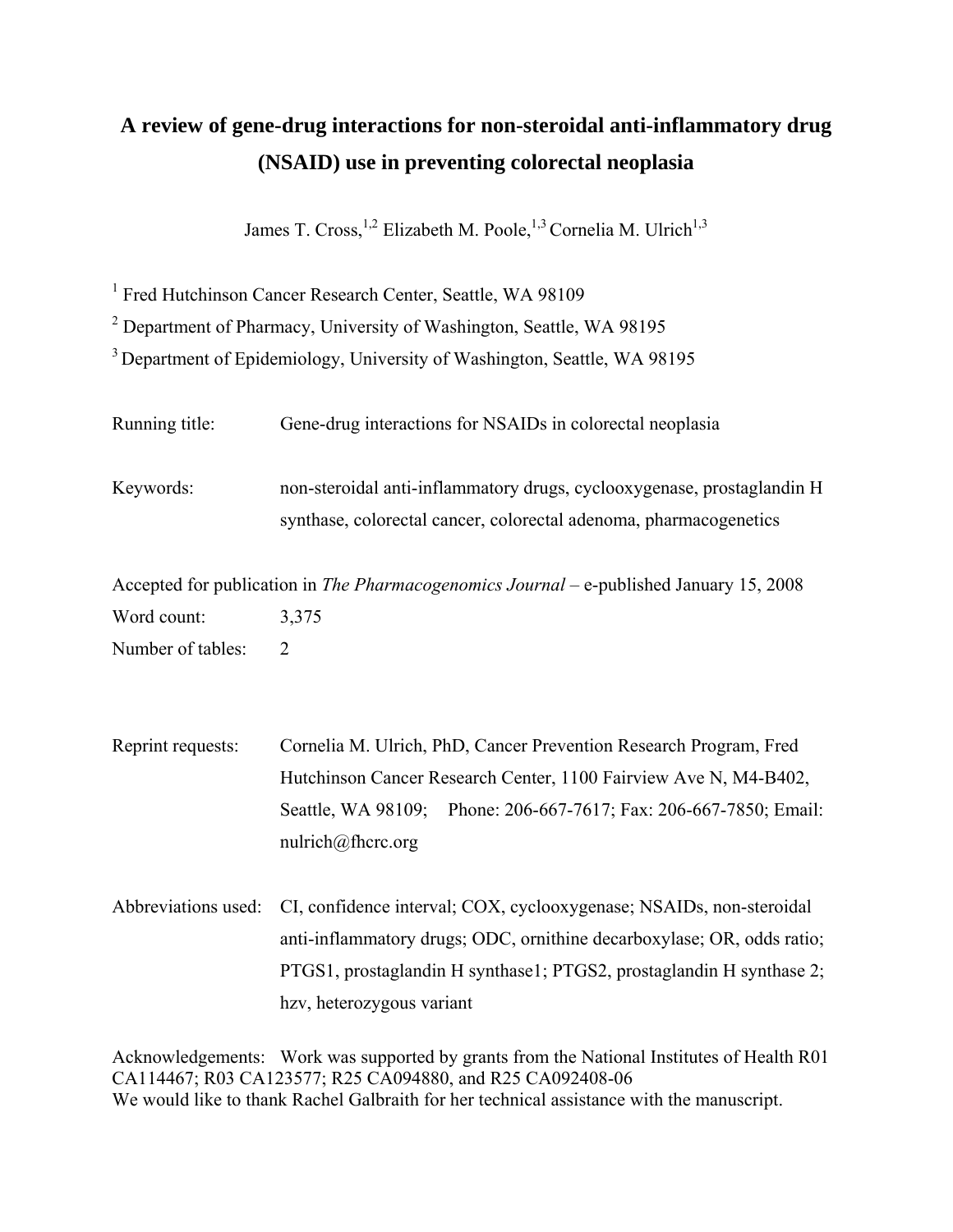# **A review of gene-drug interactions for non-steroidal anti-inflammatory drug (NSAID) use in preventing colorectal neoplasia**

James T. Cross,<sup>1,2</sup> Elizabeth M. Poole,<sup>1,3</sup> Cornelia M. Ulrich<sup>1,3</sup>

<sup>1</sup> Fred Hutchinson Cancer Research Center, Seattle, WA 98109

<sup>2</sup> Department of Pharmacy, University of Washington, Seattle, WA 98195

3 Department of Epidemiology, University of Washington, Seattle, WA 98195

| Running title:      | Gene-drug interactions for NSAIDs in colorectal neoplasia                                                                                      |
|---------------------|------------------------------------------------------------------------------------------------------------------------------------------------|
| Keywords:           | non-steroidal anti-inflammatory drugs, cyclooxygenase, prostaglandin H<br>synthase, colorectal cancer, colorectal adenoma, pharmacogenetics    |
|                     | Accepted for publication in <i>The Pharmacogenomics Journal</i> – e-published January 15, 2008                                                 |
| Word count:         | 3,375                                                                                                                                          |
| Number of tables:   | $\overline{2}$                                                                                                                                 |
| Reprint requests:   | Cornelia M. Ulrich, PhD, Cancer Prevention Research Program, Fred<br>Hutchinson Cancer Research Center, 1100 Fairview Ave N, M4-B402,          |
|                     | Seattle, WA 98109; Phone: 206-667-7617; Fax: 206-667-7850; Email:<br>nulrich@fhcrc.org                                                         |
| Abbreviations used: | CI, confidence interval; COX, cyclooxygenase; NSAIDs, non-steroidal                                                                            |
|                     | anti-inflammatory drugs; ODC, ornithine decarboxylase; OR, odds ratio;<br>PTGS1, prostaglandin H synthase1; PTGS2, prostaglandin H synthase 2; |

hzv, heterozygous variant

Acknowledgements: Work was supported by grants from the National Institutes of Health R01 CA114467; R03 CA123577; R25 CA094880, and R25 CA092408-06 We would like to thank Rachel Galbraith for her technical assistance with the manuscript.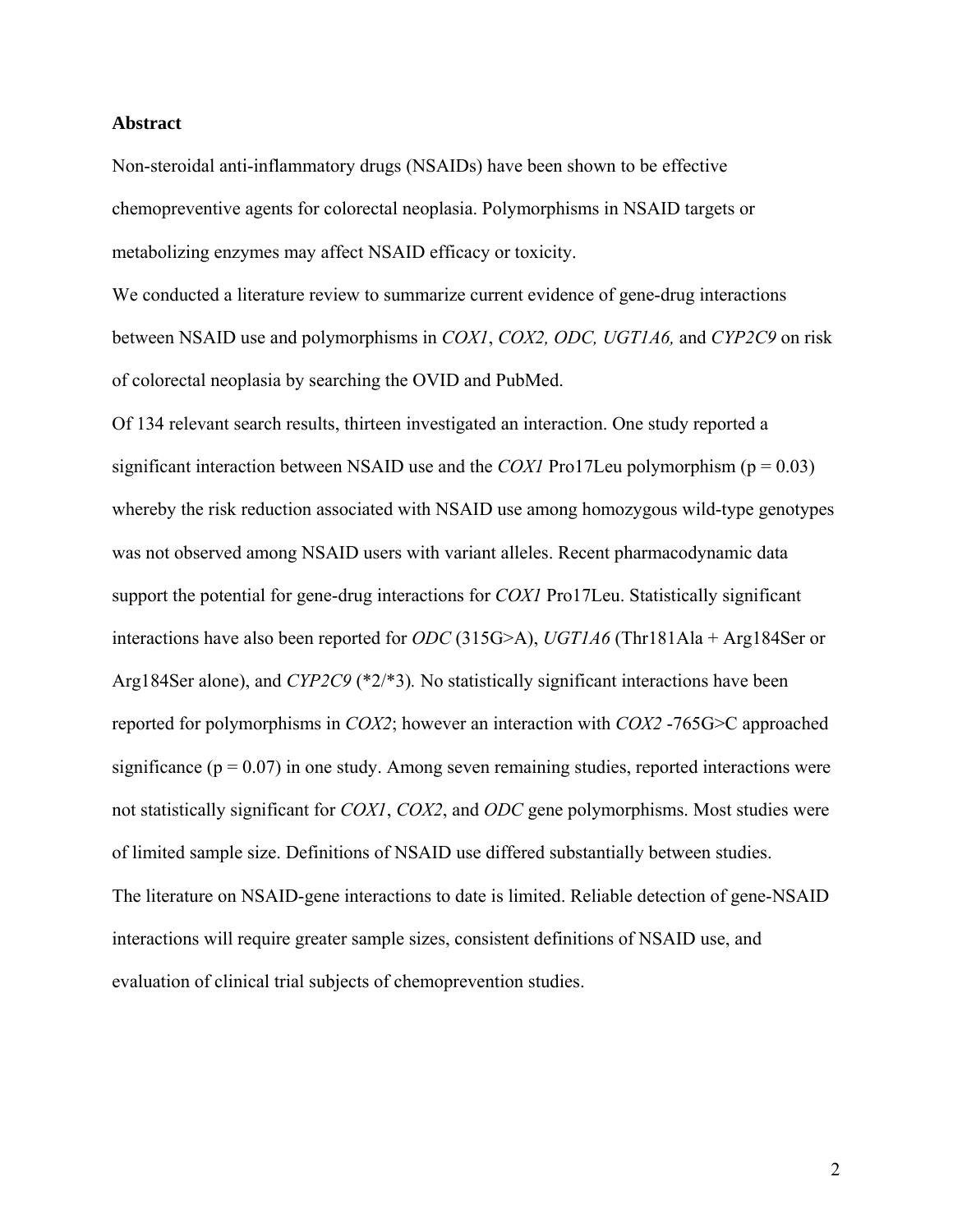### **Abstract**

Non-steroidal anti-inflammatory drugs (NSAIDs) have been shown to be effective chemopreventive agents for colorectal neoplasia. Polymorphisms in NSAID targets or metabolizing enzymes may affect NSAID efficacy or toxicity.

We conducted a literature review to summarize current evidence of gene-drug interactions between NSAID use and polymorphisms in *COX1*, *COX2, ODC, UGT1A6,* and *CYP2C9* on risk of colorectal neoplasia by searching the OVID and PubMed.

Of 134 relevant search results, thirteen investigated an interaction. One study reported a significant interaction between NSAID use and the *COX1* Pro17Leu polymorphism ( $p = 0.03$ ) whereby the risk reduction associated with NSAID use among homozygous wild-type genotypes was not observed among NSAID users with variant alleles. Recent pharmacodynamic data support the potential for gene-drug interactions for *COX1* Pro17Leu. Statistically significant interactions have also been reported for *ODC* (315G>A), *UGT1A6* (Thr181Ala + Arg184Ser or Arg184Ser alone), and *CYP2C9* (\*2/\*3)*.* No statistically significant interactions have been reported for polymorphisms in *COX2*; however an interaction with *COX2* -765G>C approached significance ( $p = 0.07$ ) in one study. Among seven remaining studies, reported interactions were not statistically significant for *COX1*, *COX2*, and *ODC* gene polymorphisms. Most studies were of limited sample size. Definitions of NSAID use differed substantially between studies. The literature on NSAID-gene interactions to date is limited. Reliable detection of gene-NSAID interactions will require greater sample sizes, consistent definitions of NSAID use, and evaluation of clinical trial subjects of chemoprevention studies.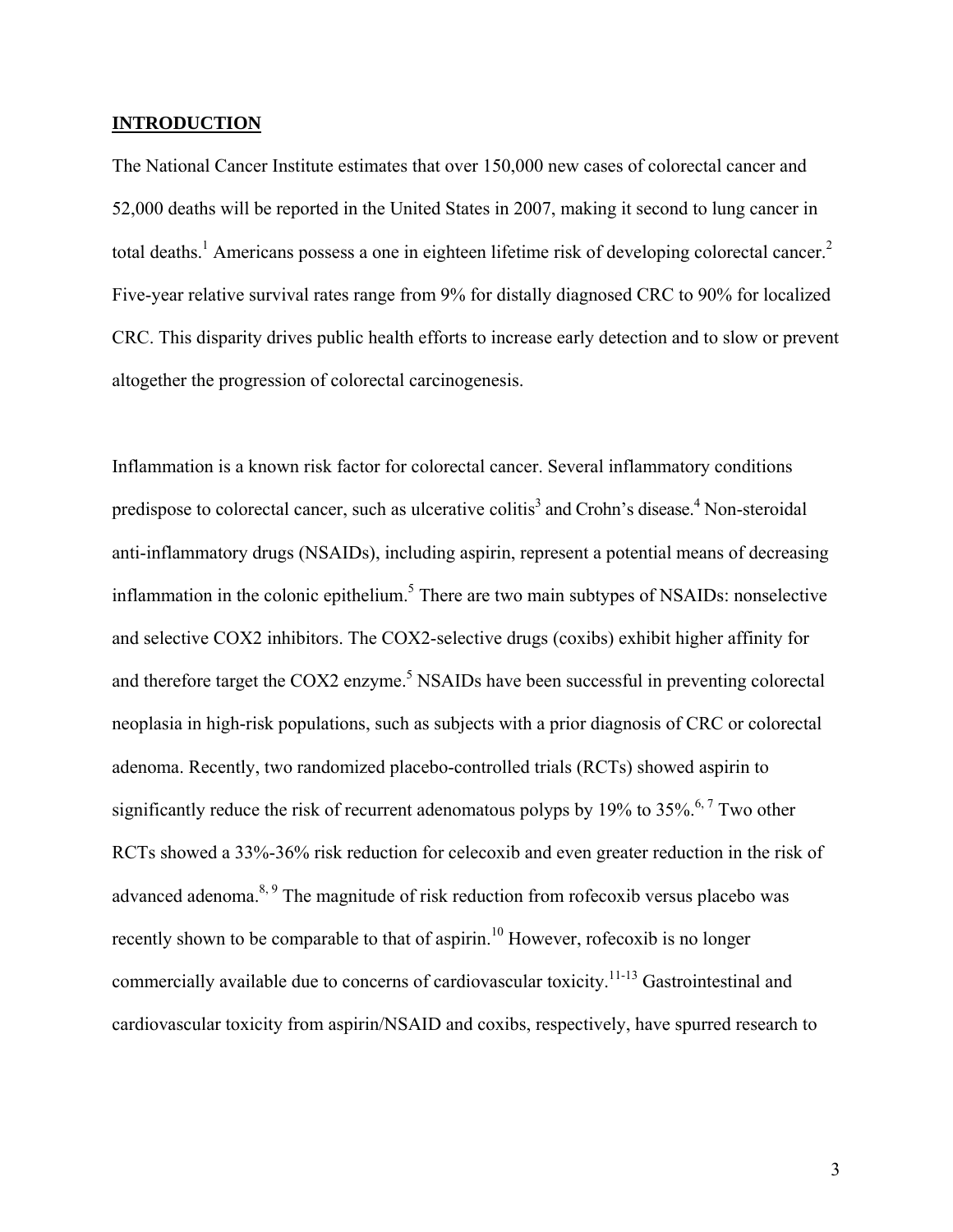#### **INTRODUCTION**

The National Cancer Institute estimates that over 150,000 new cases of colorectal cancer and 52,000 deaths will be reported in the United States in 2007, making it second to lung cancer in total deaths.<sup>1</sup> Americans possess a one in eighteen lifetime risk of developing colorectal cancer.<sup>2</sup> Five-year relative survival rates range from 9% for distally diagnosed CRC to 90% for localized CRC. This disparity drives public health efforts to increase early detection and to slow or prevent altogether the progression of colorectal carcinogenesis.

Inflammation is a known risk factor for colorectal cancer. Several inflammatory conditions predispose to colorectal cancer, such as ulcerative colitis<sup>3</sup> and Crohn's disease.<sup>4</sup> Non-steroidal anti-inflammatory drugs (NSAIDs), including aspirin, represent a potential means of decreasing inflammation in the colonic epithelium.<sup>5</sup> There are two main subtypes of NSAIDs: nonselective and selective COX2 inhibitors. The COX2-selective drugs (coxibs) exhibit higher affinity for and therefore target the COX2 enzyme.<sup>5</sup> NSAIDs have been successful in preventing colorectal neoplasia in high-risk populations, such as subjects with a prior diagnosis of CRC or colorectal adenoma. Recently, two randomized placebo-controlled trials (RCTs) showed aspirin to significantly reduce the risk of recurrent adenomatous polyps by 19% to 35%.<sup>6,7</sup> Two other RCTs showed a 33%-36% risk reduction for celecoxib and even greater reduction in the risk of advanced adenoma.<sup>8, 9</sup> The magnitude of risk reduction from rofecoxib versus placebo was recently shown to be comparable to that of aspirin.<sup>10</sup> However, rofecoxib is no longer commercially available due to concerns of cardiovascular toxicity.<sup>11-13</sup> Gastrointestinal and cardiovascular toxicity from aspirin/NSAID and coxibs, respectively, have spurred research to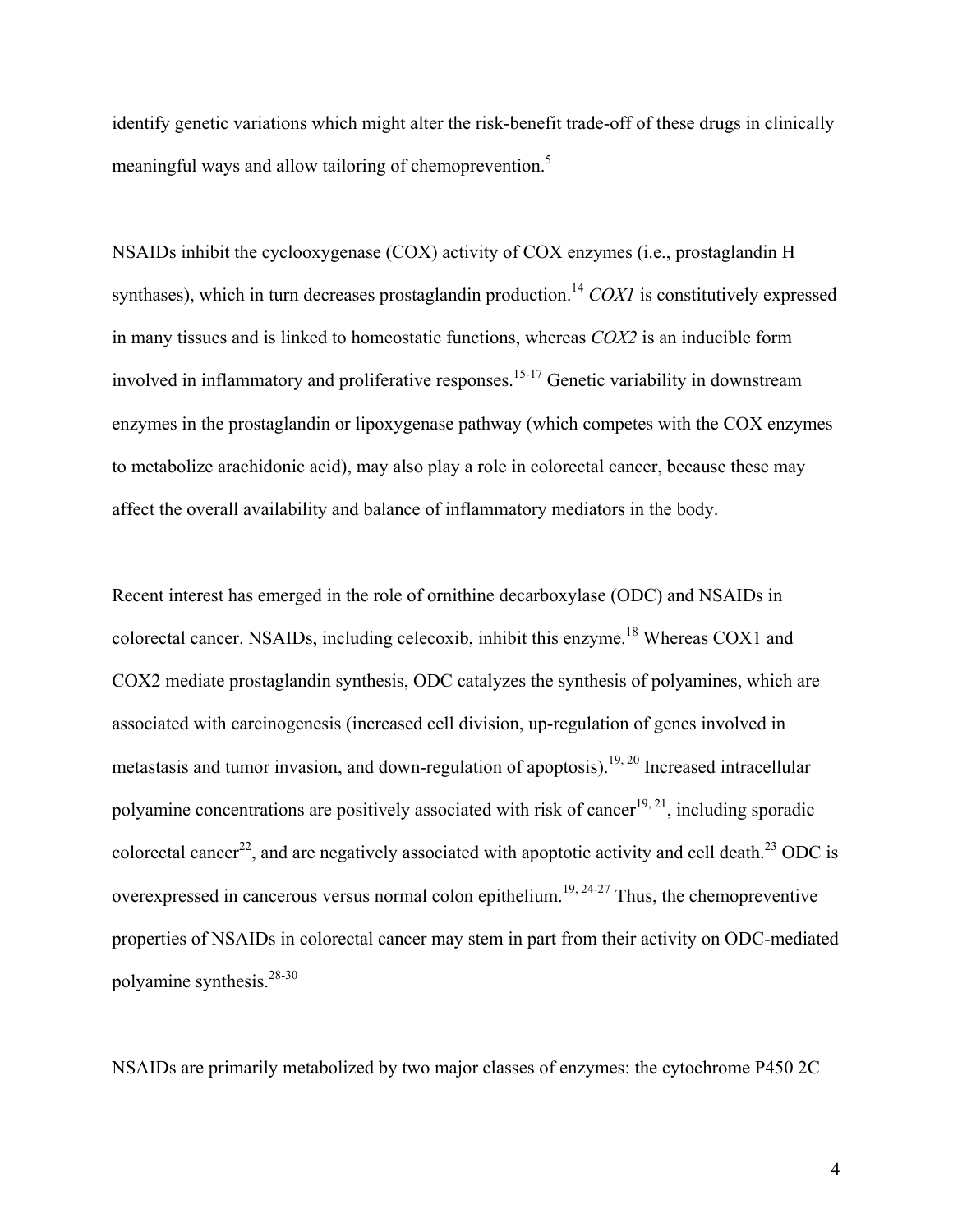identify genetic variations which might alter the risk-benefit trade-off of these drugs in clinically meaningful ways and allow tailoring of chemoprevention.<sup>5</sup>

NSAIDs inhibit the cyclooxygenase (COX) activity of COX enzymes (i.e., prostaglandin H synthases), which in turn decreases prostaglandin production.<sup>14</sup> *COX1* is constitutively expressed in many tissues and is linked to homeostatic functions, whereas *COX2* is an inducible form involved in inflammatory and proliferative responses.<sup>15-17</sup> Genetic variability in downstream enzymes in the prostaglandin or lipoxygenase pathway (which competes with the COX enzymes to metabolize arachidonic acid), may also play a role in colorectal cancer, because these may affect the overall availability and balance of inflammatory mediators in the body.

Recent interest has emerged in the role of ornithine decarboxylase (ODC) and NSAIDs in colorectal cancer. NSAIDs, including celecoxib, inhibit this enzyme.18 Whereas COX1 and COX2 mediate prostaglandin synthesis, ODC catalyzes the synthesis of polyamines, which are associated with carcinogenesis (increased cell division, up-regulation of genes involved in metastasis and tumor invasion, and down-regulation of apoptosis).<sup>19, 20</sup> Increased intracellular polyamine concentrations are positively associated with risk of cancer<sup>19, 21</sup>, including sporadic colorectal cancer<sup>22</sup>, and are negatively associated with apoptotic activity and cell death.<sup>23</sup> ODC is overexpressed in cancerous versus normal colon epithelium.<sup>19, 24-27</sup> Thus, the chemopreventive properties of NSAIDs in colorectal cancer may stem in part from their activity on ODC-mediated polyamine synthesis.28-30

NSAIDs are primarily metabolized by two major classes of enzymes: the cytochrome P450 2C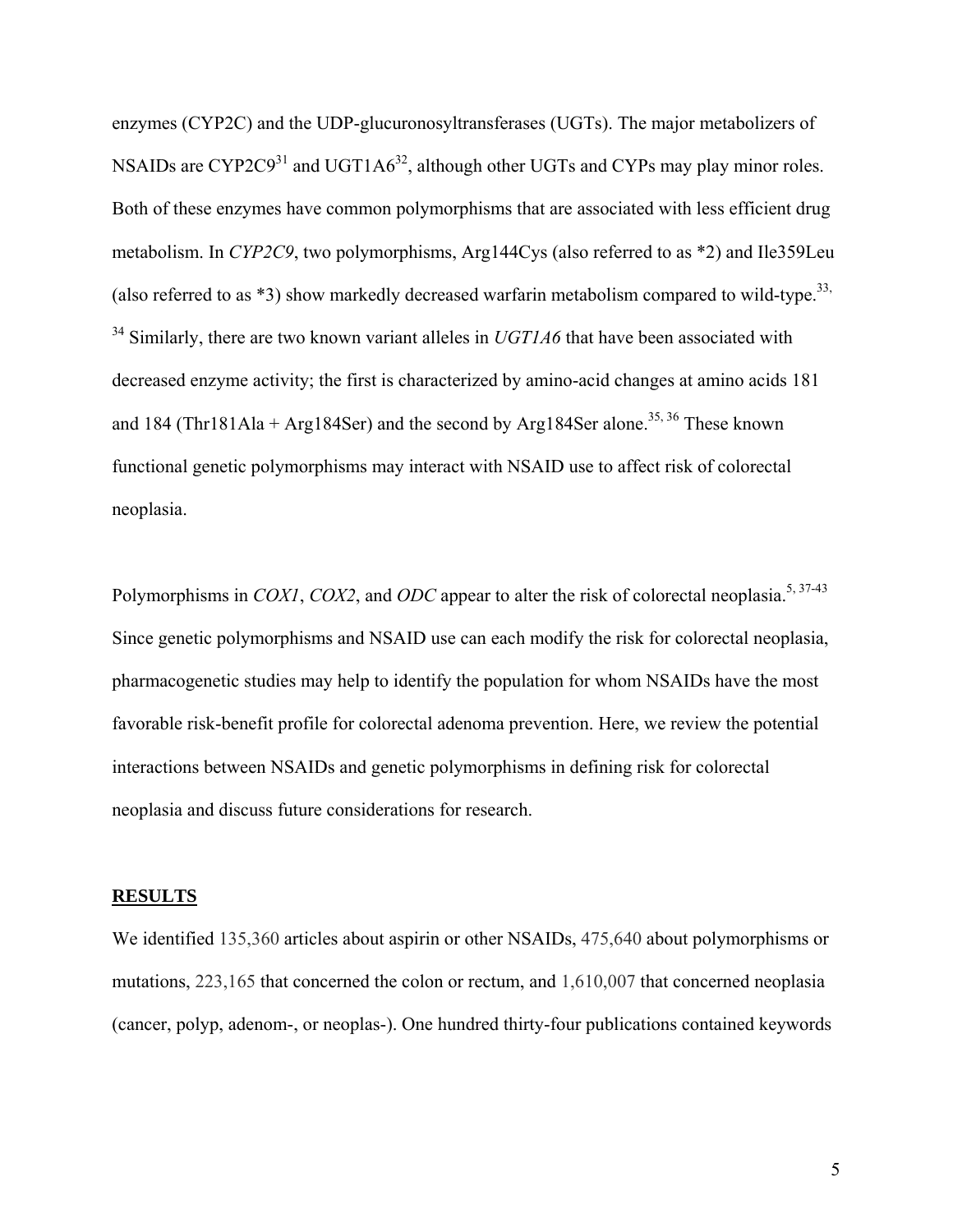enzymes (CYP2C) and the UDP-glucuronosyltransferases (UGTs). The major metabolizers of NSAIDs are CYP2C9<sup>31</sup> and UGT1A $6^{32}$ , although other UGTs and CYPs may play minor roles. Both of these enzymes have common polymorphisms that are associated with less efficient drug metabolism. In *CYP2C9*, two polymorphisms, Arg144Cys (also referred to as \*2) and Ile359Leu (also referred to as  $*3$ ) show markedly decreased warfarin metabolism compared to wild-type.<sup>33,</sup> <sup>34</sup> Similarly, there are two known variant alleles in *UGT1A6* that have been associated with decreased enzyme activity; the first is characterized by amino-acid changes at amino acids 181 and 184 (Thr181Ala + Arg184Ser) and the second by Arg184Ser alone.<sup>35, 36</sup> These known functional genetic polymorphisms may interact with NSAID use to affect risk of colorectal neoplasia.

Polymorphisms in *COX1*, *COX2*, and *ODC* appear to alter the risk of colorectal neoplasia.<sup>5, 37-43</sup> Since genetic polymorphisms and NSAID use can each modify the risk for colorectal neoplasia, pharmacogenetic studies may help to identify the population for whom NSAIDs have the most favorable risk-benefit profile for colorectal adenoma prevention. Here, we review the potential interactions between NSAIDs and genetic polymorphisms in defining risk for colorectal neoplasia and discuss future considerations for research.

#### **RESULTS**

We identified 135,360 articles about aspirin or other NSAIDs, 475,640 about polymorphisms or mutations, 223,165 that concerned the colon or rectum, and 1,610,007 that concerned neoplasia (cancer, polyp, adenom-, or neoplas-). One hundred thirty-four publications contained keywords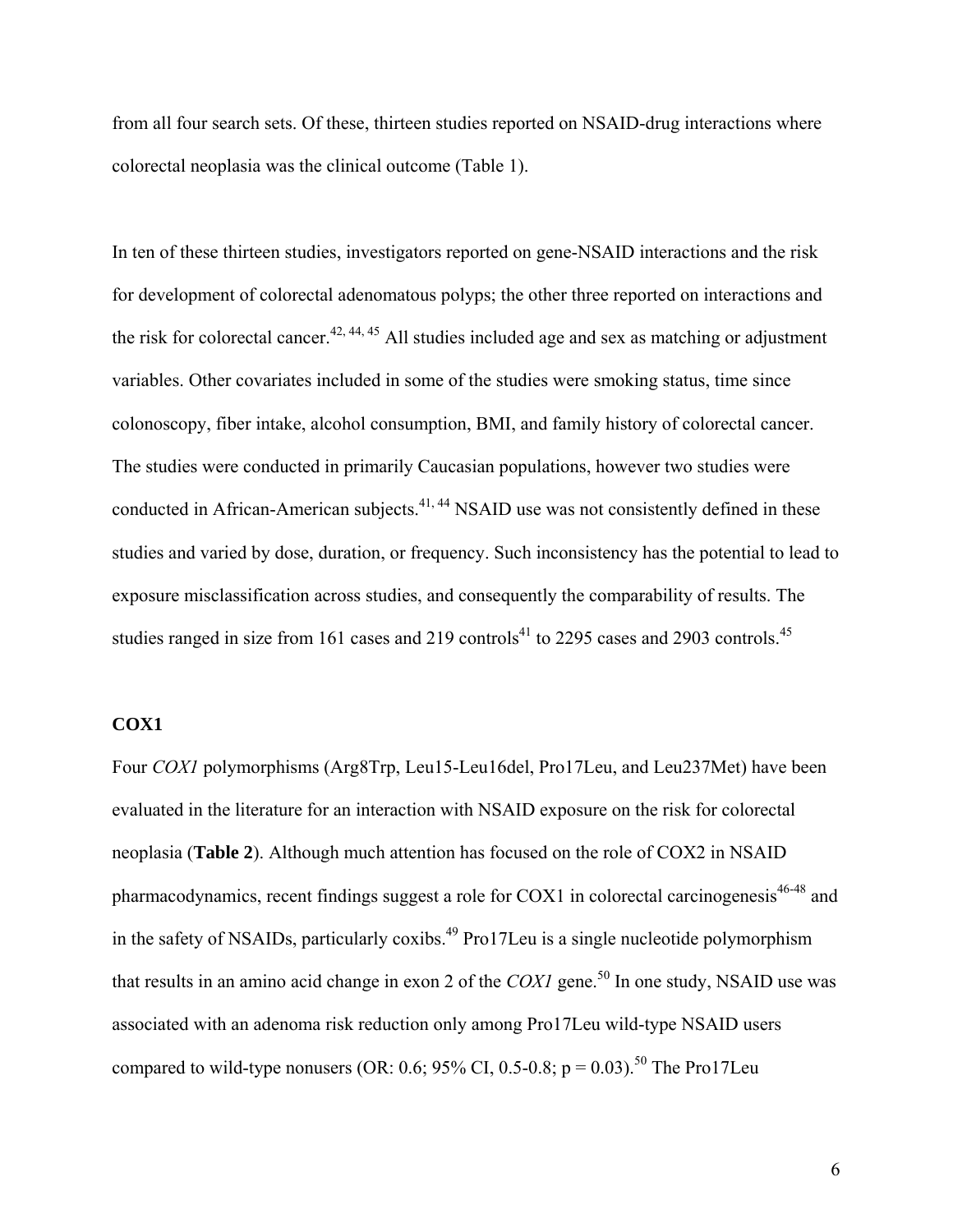from all four search sets. Of these, thirteen studies reported on NSAID-drug interactions where colorectal neoplasia was the clinical outcome (Table 1).

In ten of these thirteen studies, investigators reported on gene-NSAID interactions and the risk for development of colorectal adenomatous polyps; the other three reported on interactions and the risk for colorectal cancer.<sup>42, 44, 45</sup> All studies included age and sex as matching or adjustment variables. Other covariates included in some of the studies were smoking status, time since colonoscopy, fiber intake, alcohol consumption, BMI, and family history of colorectal cancer. The studies were conducted in primarily Caucasian populations, however two studies were conducted in African-American subjects.<sup>41, 44</sup> NSAID use was not consistently defined in these studies and varied by dose, duration, or frequency. Such inconsistency has the potential to lead to exposure misclassification across studies, and consequently the comparability of results. The studies ranged in size from 161 cases and 219 controls<sup>41</sup> to 2295 cases and 2903 controls.<sup>45</sup>

# **COX1**

Four *COX1* polymorphisms (Arg8Trp, Leu15-Leu16del, Pro17Leu, and Leu237Met) have been evaluated in the literature for an interaction with NSAID exposure on the risk for colorectal neoplasia (**Table 2**). Although much attention has focused on the role of COX2 in NSAID pharmacodynamics, recent findings suggest a role for COX1 in colorectal carcinogenesis<sup>46-48</sup> and in the safety of NSAIDs, particularly coxibs.<sup>49</sup> Pro17Leu is a single nucleotide polymorphism that results in an amino acid change in exon 2 of the *COX1* gene.<sup>50</sup> In one study, NSAID use was associated with an adenoma risk reduction only among Pro17Leu wild-type NSAID users compared to wild-type nonusers (OR: 0.6; 95% CI, 0.5-0.8; p = 0.03).<sup>50</sup> The Pro17Leu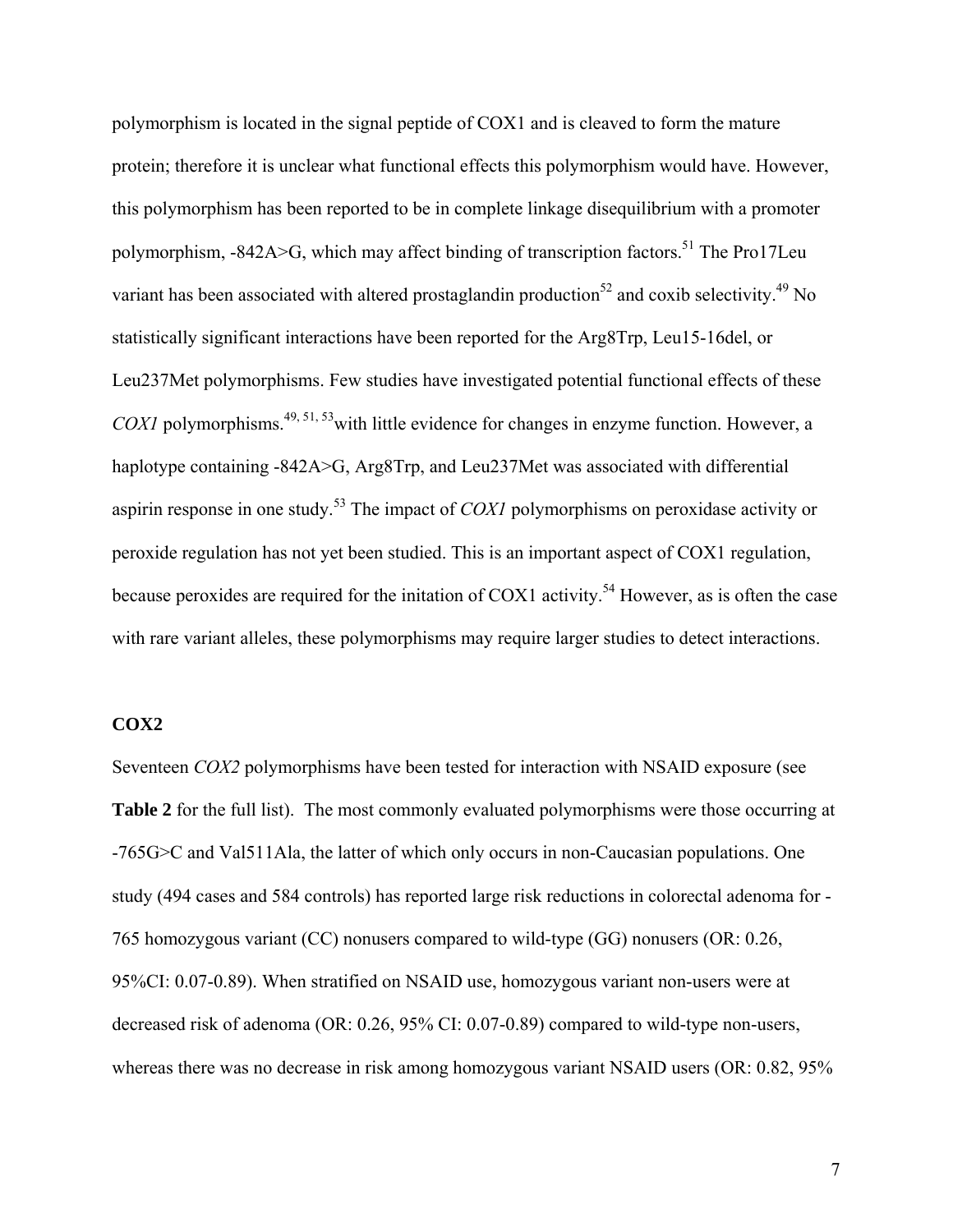polymorphism is located in the signal peptide of COX1 and is cleaved to form the mature protein; therefore it is unclear what functional effects this polymorphism would have. However, this polymorphism has been reported to be in complete linkage disequilibrium with a promoter polymorphism,  $-842A > G$ , which may affect binding of transcription factors.<sup>51</sup> The Pro17Leu variant has been associated with altered prostaglandin production<sup>52</sup> and coxib selectivity.<sup>49</sup> No statistically significant interactions have been reported for the Arg8Trp, Leu15-16del, or Leu237Met polymorphisms. Few studies have investigated potential functional effects of these *COX1* polymorphisms.<sup>49, 51, 53</sup> with little evidence for changes in enzyme function. However, a haplotype containing -842A>G, Arg8Trp, and Leu237Met was associated with differential aspirin response in one study.53 The impact of *COX1* polymorphisms on peroxidase activity or peroxide regulation has not yet been studied. This is an important aspect of COX1 regulation, because peroxides are required for the initation of COX1 activity.<sup>54</sup> However, as is often the case with rare variant alleles, these polymorphisms may require larger studies to detect interactions.

# **COX2**

Seventeen *COX2* polymorphisms have been tested for interaction with NSAID exposure (see **Table 2** for the full list). The most commonly evaluated polymorphisms were those occurring at -765G>C and Val511Ala, the latter of which only occurs in non-Caucasian populations. One study (494 cases and 584 controls) has reported large risk reductions in colorectal adenoma for - 765 homozygous variant (CC) nonusers compared to wild-type (GG) nonusers (OR: 0.26, 95%CI: 0.07-0.89). When stratified on NSAID use, homozygous variant non-users were at decreased risk of adenoma (OR: 0.26, 95% CI: 0.07-0.89) compared to wild-type non-users, whereas there was no decrease in risk among homozygous variant NSAID users (OR: 0.82, 95%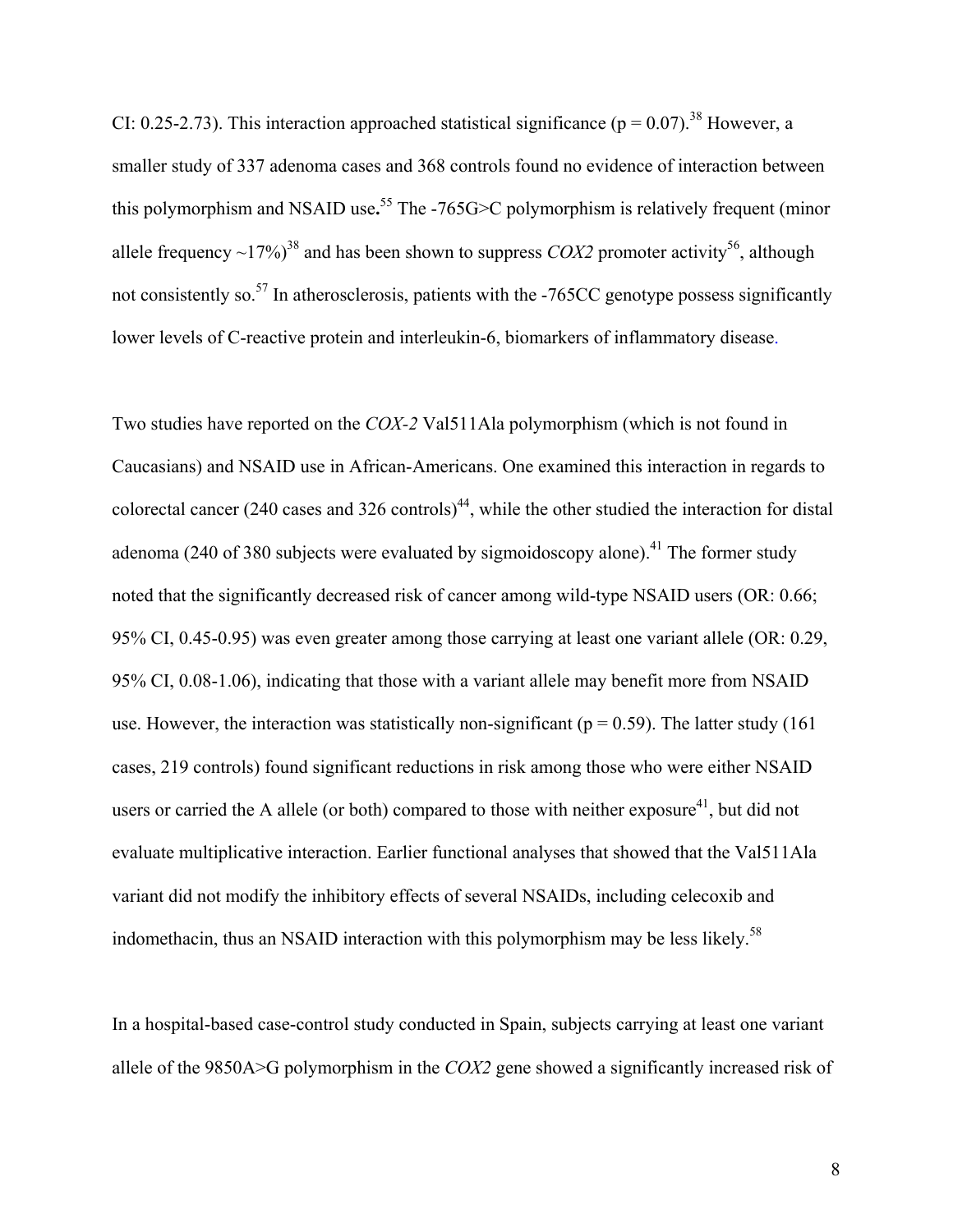CI: 0.25-2.73). This interaction approached statistical significance ( $p = 0.07$ ).<sup>38</sup> However, a smaller study of 337 adenoma cases and 368 controls found no evidence of interaction between this polymorphism and NSAID use**.** <sup>55</sup> The -765G>C polymorphism is relatively frequent (minor allele frequency  $\sim$ 17%)<sup>38</sup> and has been shown to suppress *COX2* promoter activity<sup>56</sup>, although not consistently so.<sup>57</sup> In atherosclerosis, patients with the  $-765CC$  genotype possess significantly lower levels of C-reactive protein and interleukin-6, biomarkers of inflammatory disease.

Two studies have reported on the *COX-2* Val511Ala polymorphism (which is not found in Caucasians) and NSAID use in African-Americans. One examined this interaction in regards to colorectal cancer (240 cases and 326 controls)<sup>44</sup>, while the other studied the interaction for distal adenoma (240 of 380 subjects were evaluated by sigmoidoscopy alone).<sup>41</sup> The former study noted that the significantly decreased risk of cancer among wild-type NSAID users (OR: 0.66; 95% CI, 0.45-0.95) was even greater among those carrying at least one variant allele (OR: 0.29, 95% CI, 0.08-1.06), indicating that those with a variant allele may benefit more from NSAID use. However, the interaction was statistically non-significant ( $p = 0.59$ ). The latter study (161) cases, 219 controls) found significant reductions in risk among those who were either NSAID users or carried the A allele (or both) compared to those with neither exposure<sup>41</sup>, but did not evaluate multiplicative interaction. Earlier functional analyses that showed that the Val511Ala variant did not modify the inhibitory effects of several NSAIDs, including celecoxib and indomethacin, thus an NSAID interaction with this polymorphism may be less likely.<sup>58</sup>

In a hospital-based case-control study conducted in Spain, subjects carrying at least one variant allele of the 9850A>G polymorphism in the *COX2* gene showed a significantly increased risk of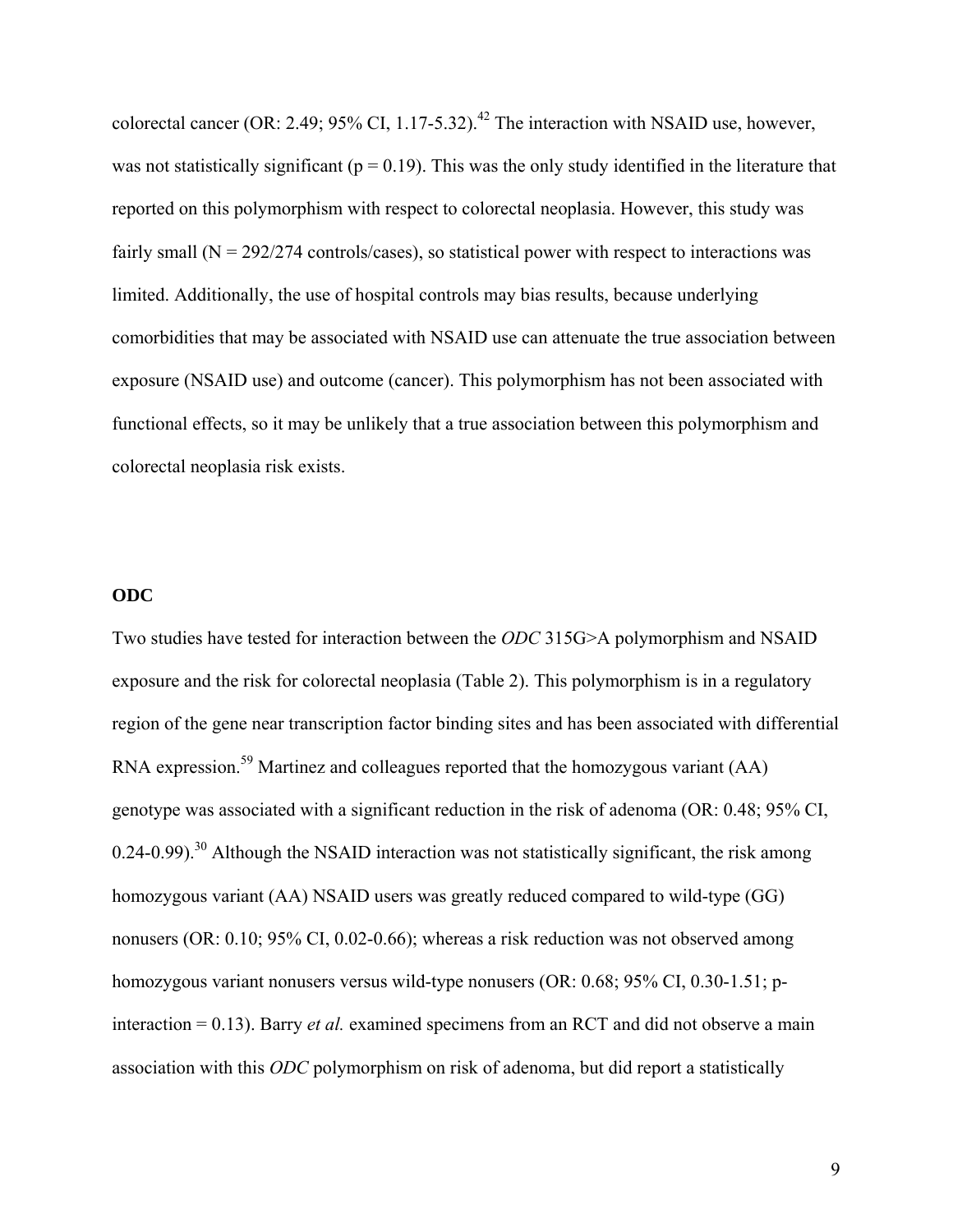colorectal cancer (OR: 2.49; 95% CI, 1.17-5.32).<sup>42</sup> The interaction with NSAID use, however, was not statistically significant ( $p = 0.19$ ). This was the only study identified in the literature that reported on this polymorphism with respect to colorectal neoplasia. However, this study was fairly small  $(N = 292/274$  controls/cases), so statistical power with respect to interactions was limited. Additionally, the use of hospital controls may bias results, because underlying comorbidities that may be associated with NSAID use can attenuate the true association between exposure (NSAID use) and outcome (cancer). This polymorphism has not been associated with functional effects, so it may be unlikely that a true association between this polymorphism and colorectal neoplasia risk exists.

# **ODC**

Two studies have tested for interaction between the *ODC* 315G>A polymorphism and NSAID exposure and the risk for colorectal neoplasia (Table 2). This polymorphism is in a regulatory region of the gene near transcription factor binding sites and has been associated with differential RNA expression.<sup>59</sup> Martinez and colleagues reported that the homozygous variant (AA) genotype was associated with a significant reduction in the risk of adenoma (OR: 0.48; 95% CI,  $0.24$ -0.99).<sup>30</sup> Although the NSAID interaction was not statistically significant, the risk among homozygous variant (AA) NSAID users was greatly reduced compared to wild-type (GG) nonusers (OR: 0.10; 95% CI, 0.02-0.66); whereas a risk reduction was not observed among homozygous variant nonusers versus wild-type nonusers (OR: 0.68; 95% CI, 0.30-1.51; pinteraction = 0.13). Barry *et al.* examined specimens from an RCT and did not observe a main association with this *ODC* polymorphism on risk of adenoma, but did report a statistically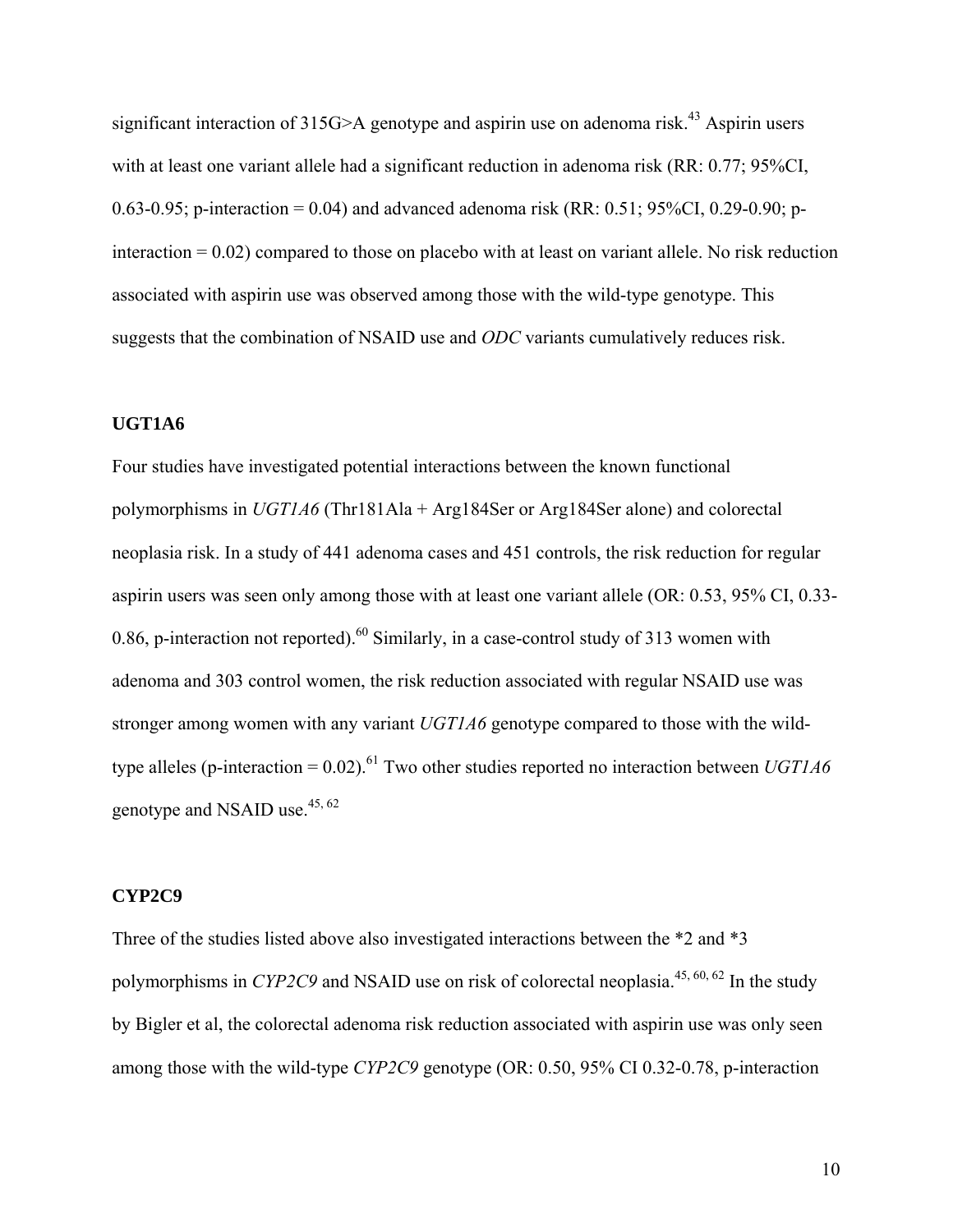significant interaction of  $315G>A$  genotype and aspirin use on adenoma risk.<sup>43</sup> Aspirin users with at least one variant allele had a significant reduction in adenoma risk (RR: 0.77; 95%CI, 0.63-0.95; p-interaction = 0.04) and advanced adenoma risk (RR: 0.51; 95%CI, 0.29-0.90; pinteraction  $= 0.02$ ) compared to those on placebo with at least on variant allele. No risk reduction associated with aspirin use was observed among those with the wild-type genotype. This suggests that the combination of NSAID use and *ODC* variants cumulatively reduces risk.

## **UGT1A6**

Four studies have investigated potential interactions between the known functional polymorphisms in *UGT1A6* (Thr181Ala + Arg184Ser or Arg184Ser alone) and colorectal neoplasia risk. In a study of 441 adenoma cases and 451 controls, the risk reduction for regular aspirin users was seen only among those with at least one variant allele (OR: 0.53, 95% CI, 0.33- 0.86, p-interaction not reported).<sup>60</sup> Similarly, in a case-control study of 313 women with adenoma and 303 control women, the risk reduction associated with regular NSAID use was stronger among women with any variant *UGT1A6* genotype compared to those with the wildtype alleles (p-interaction =  $0.02$ ).<sup>61</sup> Two other studies reported no interaction between *UGT1A6* genotype and NSAID use. $45, 62$ 

#### **CYP2C9**

Three of the studies listed above also investigated interactions between the \*2 and \*3 polymorphisms in *CYP2C9* and NSAID use on risk of colorectal neoplasia.<sup>45, 60, 62</sup> In the study by Bigler et al, the colorectal adenoma risk reduction associated with aspirin use was only seen among those with the wild-type *CYP2C9* genotype (OR: 0.50, 95% CI 0.32-0.78, p-interaction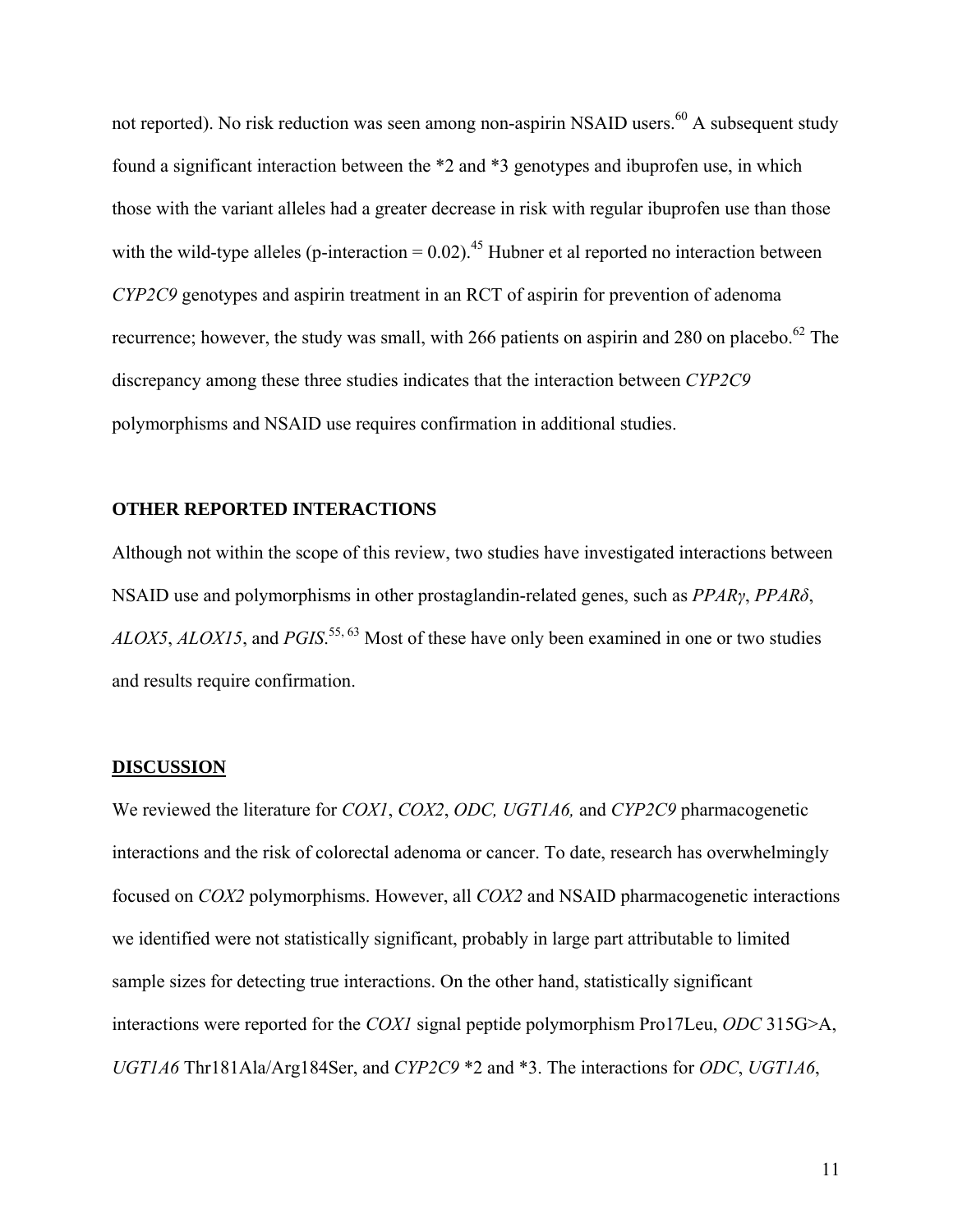not reported). No risk reduction was seen among non-aspirin NSAID users.<sup>60</sup> A subsequent study found a significant interaction between the \*2 and \*3 genotypes and ibuprofen use, in which those with the variant alleles had a greater decrease in risk with regular ibuprofen use than those with the wild-type alleles (p-interaction =  $0.02$ ).<sup>45</sup> Hubner et al reported no interaction between *CYP2C9* genotypes and aspirin treatment in an RCT of aspirin for prevention of adenoma recurrence; however, the study was small, with 266 patients on aspirin and 280 on placebo.<sup>62</sup> The discrepancy among these three studies indicates that the interaction between *CYP2C9*  polymorphisms and NSAID use requires confirmation in additional studies.

#### **OTHER REPORTED INTERACTIONS**

Although not within the scope of this review, two studies have investigated interactions between NSAID use and polymorphisms in other prostaglandin-related genes, such as *PPARγ*, *PPARδ*, *ALOX5*, *ALOX15*, and *PGIS*. 55, 63 Most of these have only been examined in one or two studies and results require confirmation.

#### **DISCUSSION**

We reviewed the literature for *COX1*, *COX2*, *ODC, UGT1A6,* and *CYP2C9* pharmacogenetic interactions and the risk of colorectal adenoma or cancer. To date, research has overwhelmingly focused on *COX2* polymorphisms. However, all *COX2* and NSAID pharmacogenetic interactions we identified were not statistically significant, probably in large part attributable to limited sample sizes for detecting true interactions. On the other hand, statistically significant interactions were reported for the *COX1* signal peptide polymorphism Pro17Leu, *ODC* 315G>A, *UGT1A6* Thr181Ala/Arg184Ser, and *CYP2C9* \*2 and \*3. The interactions for *ODC*, *UGT1A6*,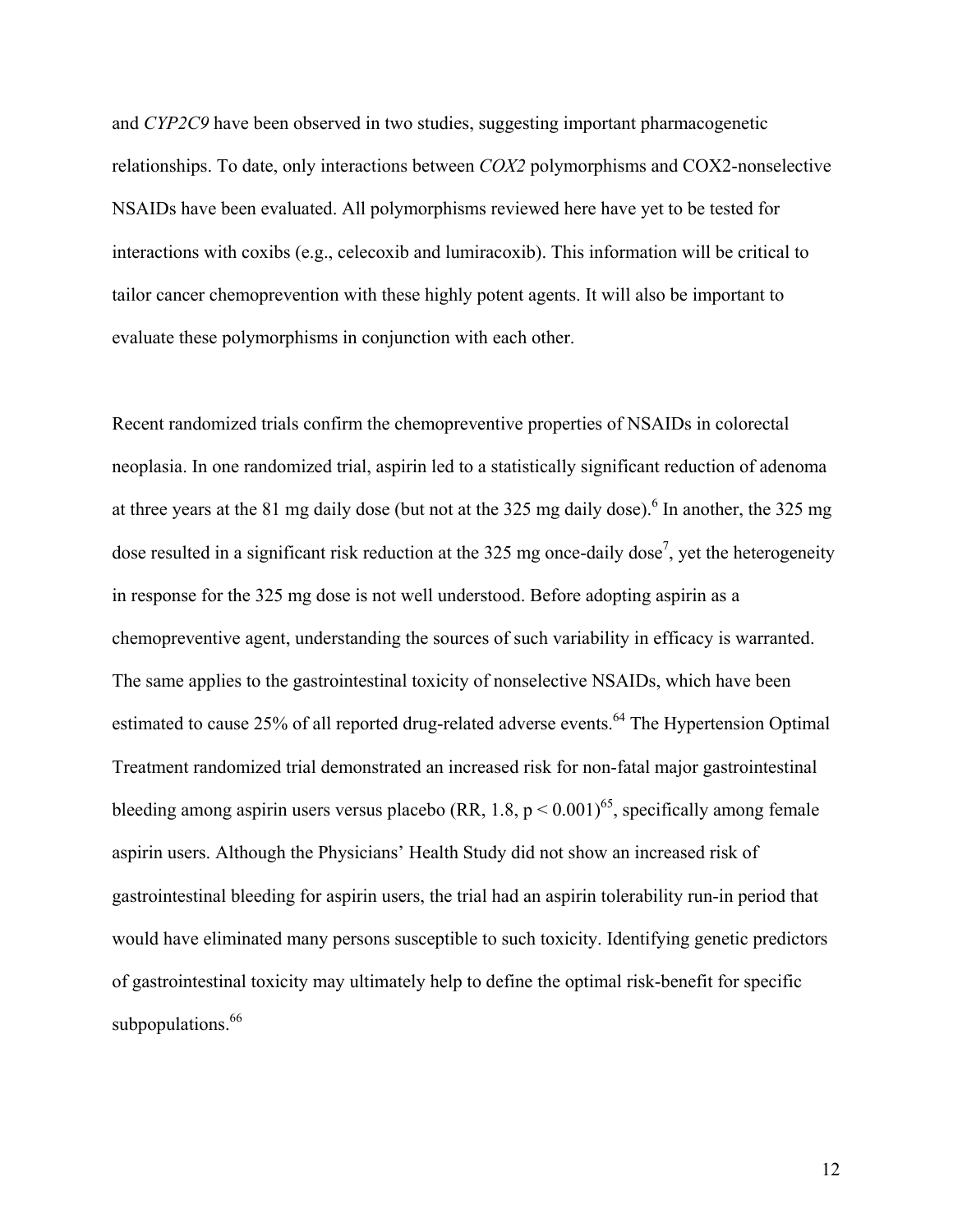and *CYP2C9* have been observed in two studies, suggesting important pharmacogenetic relationships. To date, only interactions between *COX2* polymorphisms and COX2-nonselective NSAIDs have been evaluated. All polymorphisms reviewed here have yet to be tested for interactions with coxibs (e.g., celecoxib and lumiracoxib). This information will be critical to tailor cancer chemoprevention with these highly potent agents. It will also be important to evaluate these polymorphisms in conjunction with each other.

Recent randomized trials confirm the chemopreventive properties of NSAIDs in colorectal neoplasia. In one randomized trial, aspirin led to a statistically significant reduction of adenoma at three years at the 81 mg daily dose (but not at the 325 mg daily dose). <sup>6</sup> In another, the 325 mg dose resulted in a significant risk reduction at the 325 mg once-daily dose<sup>7</sup>, yet the heterogeneity in response for the 325 mg dose is not well understood. Before adopting aspirin as a chemopreventive agent, understanding the sources of such variability in efficacy is warranted. The same applies to the gastrointestinal toxicity of nonselective NSAIDs, which have been estimated to cause 25% of all reported drug-related adverse events.<sup>64</sup> The Hypertension Optimal Treatment randomized trial demonstrated an increased risk for non-fatal major gastrointestinal bleeding among aspirin users versus placebo (RR, 1.8,  $p \le 0.001$ )<sup>65</sup>, specifically among female aspirin users. Although the Physicians' Health Study did not show an increased risk of gastrointestinal bleeding for aspirin users, the trial had an aspirin tolerability run-in period that would have eliminated many persons susceptible to such toxicity. Identifying genetic predictors of gastrointestinal toxicity may ultimately help to define the optimal risk-benefit for specific subpopulations.<sup>66</sup>

12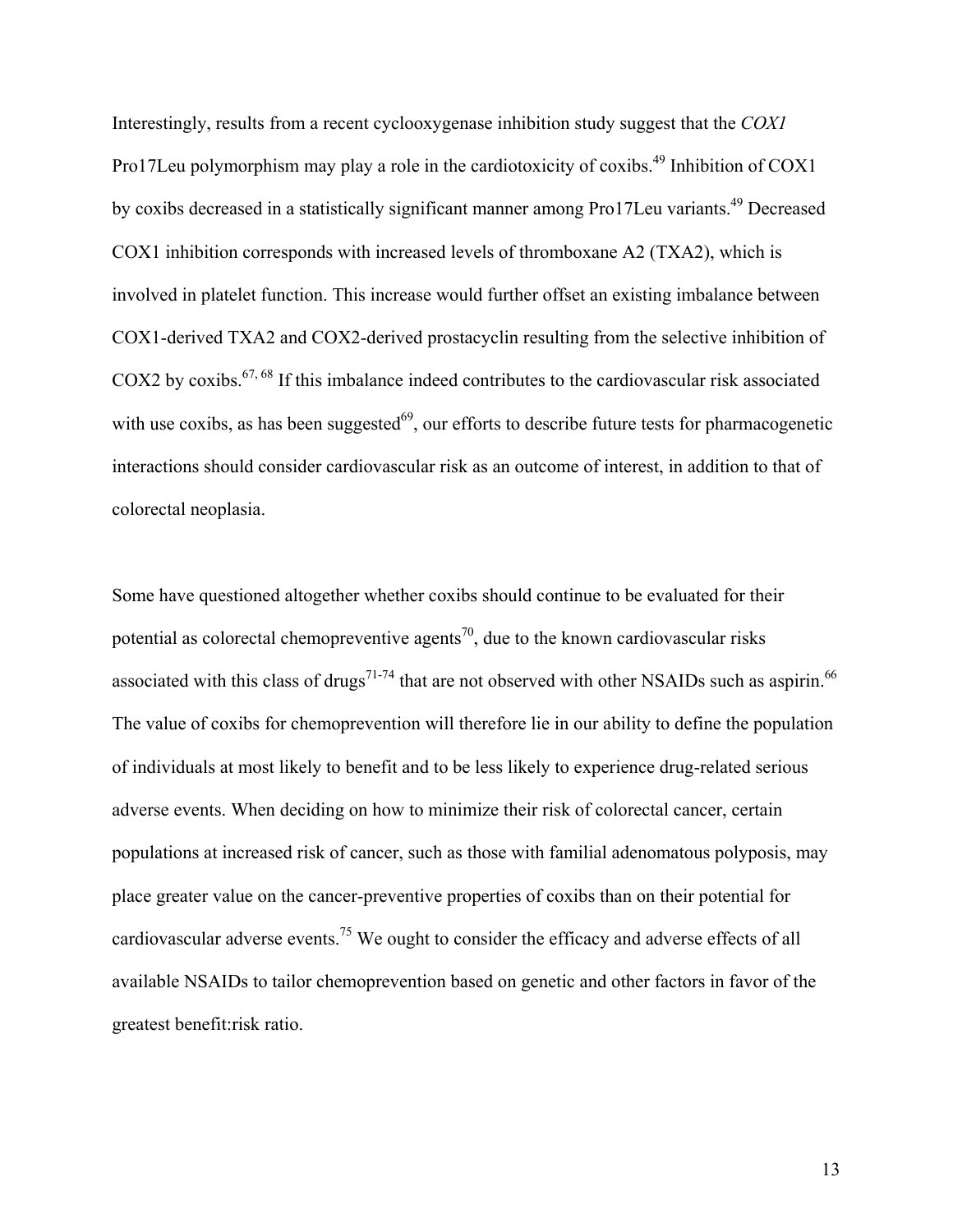Interestingly, results from a recent cyclooxygenase inhibition study suggest that the *COX1*  Pro17Leu polymorphism may play a role in the cardiotoxicity of coxibs.<sup>49</sup> Inhibition of COX1 by coxibs decreased in a statistically significant manner among Pro17Leu variants.<sup>49</sup> Decreased COX1 inhibition corresponds with increased levels of thromboxane A2 (TXA2), which is involved in platelet function. This increase would further offset an existing imbalance between COX1-derived TXA2 and COX2-derived prostacyclin resulting from the selective inhibition of COX2 by coxibs.<sup>67, 68</sup> If this imbalance indeed contributes to the cardiovascular risk associated with use coxibs, as has been suggested $^{69}$ , our efforts to describe future tests for pharmacogenetic interactions should consider cardiovascular risk as an outcome of interest, in addition to that of colorectal neoplasia.

Some have questioned altogether whether coxibs should continue to be evaluated for their potential as colorectal chemopreventive agents<sup>70</sup>, due to the known cardiovascular risks associated with this class of drugs<sup>71-74</sup> that are not observed with other NSAIDs such as aspirin.<sup>66</sup> The value of coxibs for chemoprevention will therefore lie in our ability to define the population of individuals at most likely to benefit and to be less likely to experience drug-related serious adverse events. When deciding on how to minimize their risk of colorectal cancer, certain populations at increased risk of cancer, such as those with familial adenomatous polyposis, may place greater value on the cancer-preventive properties of coxibs than on their potential for cardiovascular adverse events.<sup>75</sup> We ought to consider the efficacy and adverse effects of all available NSAIDs to tailor chemoprevention based on genetic and other factors in favor of the greatest benefit:risk ratio.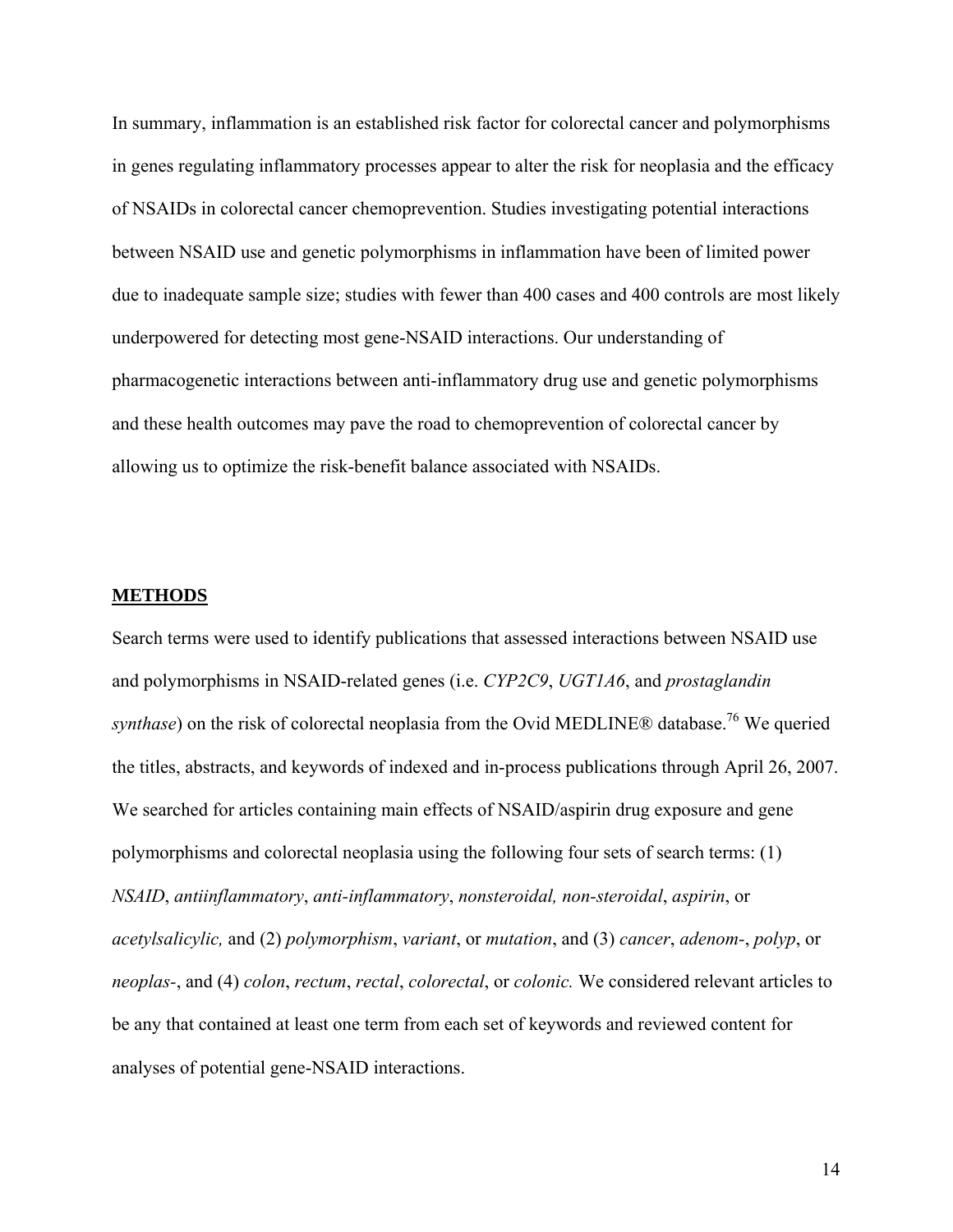In summary, inflammation is an established risk factor for colorectal cancer and polymorphisms in genes regulating inflammatory processes appear to alter the risk for neoplasia and the efficacy of NSAIDs in colorectal cancer chemoprevention. Studies investigating potential interactions between NSAID use and genetic polymorphisms in inflammation have been of limited power due to inadequate sample size; studies with fewer than 400 cases and 400 controls are most likely underpowered for detecting most gene-NSAID interactions. Our understanding of pharmacogenetic interactions between anti-inflammatory drug use and genetic polymorphisms and these health outcomes may pave the road to chemoprevention of colorectal cancer by allowing us to optimize the risk-benefit balance associated with NSAIDs.

#### **METHODS**

Search terms were used to identify publications that assessed interactions between NSAID use and polymorphisms in NSAID-related genes (i.e. *CYP2C9*, *UGT1A6*, and *prostaglandin synthase*) on the risk of colorectal neoplasia from the Ovid MEDLINE® database.<sup>76</sup> We queried the titles, abstracts, and keywords of indexed and in-process publications through April 26, 2007. We searched for articles containing main effects of NSAID/aspirin drug exposure and gene polymorphisms and colorectal neoplasia using the following four sets of search terms: (1) *NSAID*, *antiinflammatory*, *anti-inflammatory*, *nonsteroidal, non-steroidal*, *aspirin*, or *acetylsalicylic,* and (2) *polymorphism*, *variant*, or *mutation*, and (3) *cancer*, *adenom-*, *polyp*, or *neoplas-*, and (4) *colon*, *rectum*, *rectal*, *colorectal*, or *colonic.* We considered relevant articles to be any that contained at least one term from each set of keywords and reviewed content for analyses of potential gene-NSAID interactions.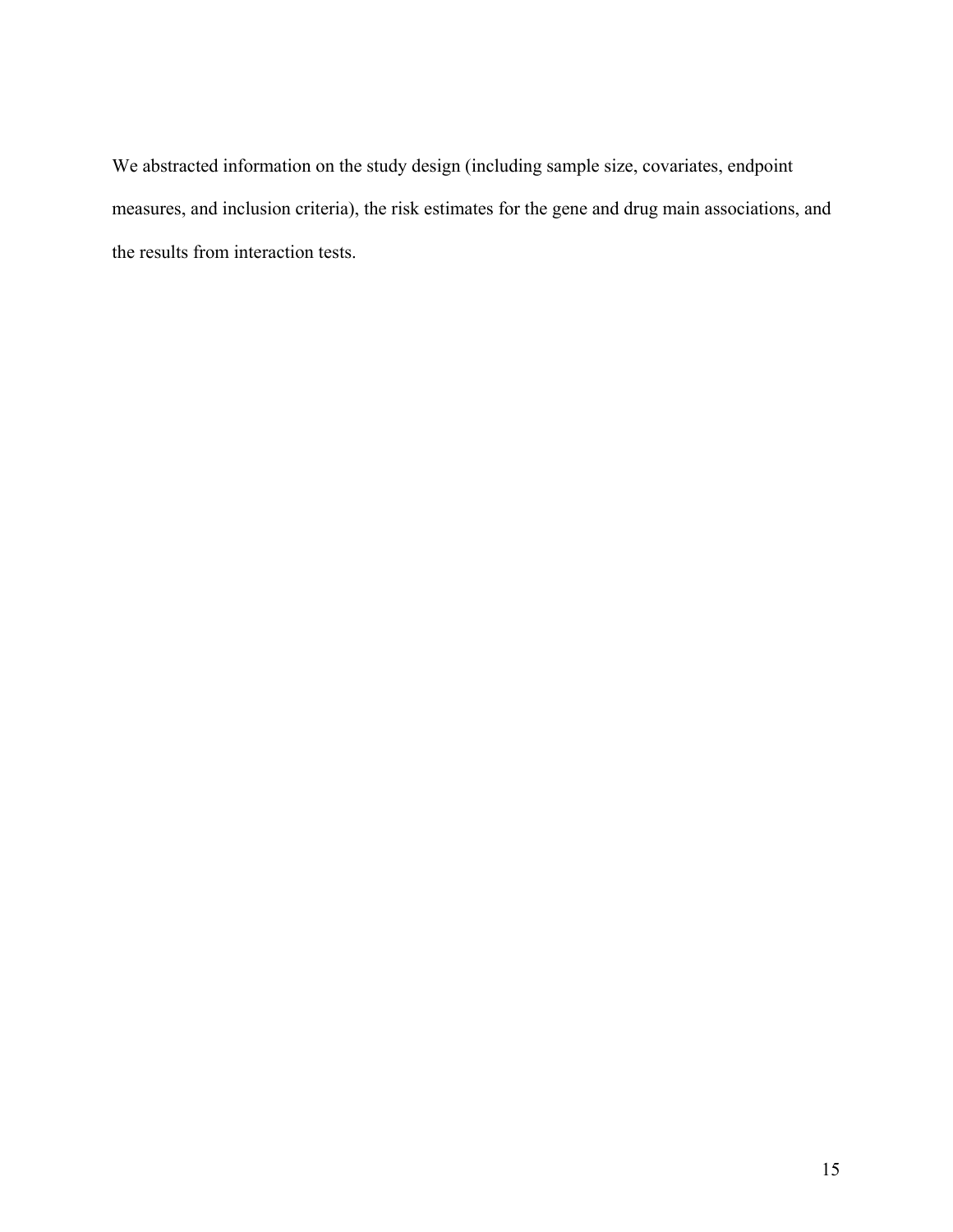We abstracted information on the study design (including sample size, covariates, endpoint measures, and inclusion criteria), the risk estimates for the gene and drug main associations, and the results from interaction tests.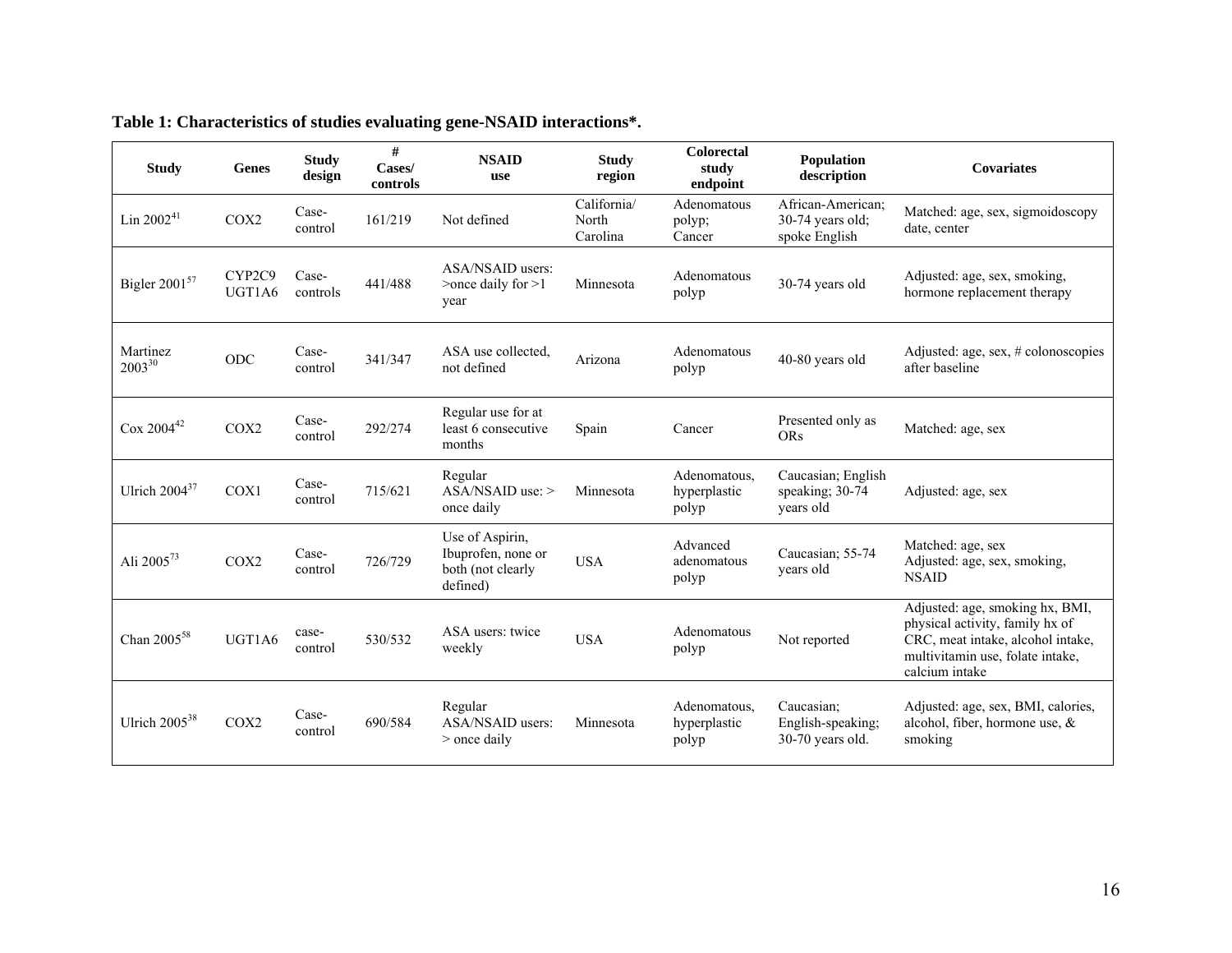| <b>Study</b>              | <b>Genes</b>     | <b>Study</b><br>design | #<br>Cases/<br>controls | <b>NSAID</b><br>use                                                    | <b>Study</b><br>region           | Colorectal<br>study<br>endpoint       | Population<br>description                                | <b>Covariates</b>                                                                                                                                             |
|---------------------------|------------------|------------------------|-------------------------|------------------------------------------------------------------------|----------------------------------|---------------------------------------|----------------------------------------------------------|---------------------------------------------------------------------------------------------------------------------------------------------------------------|
| Lin 2002 <sup>41</sup>    | COX <sub>2</sub> | Case-<br>control       | 161/219                 | Not defined                                                            | California/<br>North<br>Carolina | Adenomatous<br>polyp;<br>Cancer       | African-American;<br>$30-74$ years old:<br>spoke English | Matched: age, sex, sigmoidoscopy<br>date, center                                                                                                              |
| Bigler 2001 <sup>57</sup> | CYP2C9<br>UGT1A6 | Case-<br>controls      | 441/488                 | ASA/NSAID users:<br>$\geq$ once daily for $\geq$ 1<br>year             | Minnesota                        | Adenomatous<br>polyp                  | 30-74 years old                                          | Adjusted: age, sex, smoking,<br>hormone replacement therapy                                                                                                   |
| Martinez<br>200330        | ODC              | Case-<br>control       | 341/347                 | ASA use collected.<br>not defined                                      | Arizona                          | Adenomatous<br>polyp                  | 40-80 years old                                          | Adjusted: age, sex, $#$ colonoscopies<br>after baseline                                                                                                       |
| $\cos 2004^{42}$          | COX2             | Case-<br>control       | 292/274                 | Regular use for at<br>least 6 consecutive<br>months                    | Spain                            | Cancer                                | Presented only as<br><b>ORs</b>                          | Matched: age, sex                                                                                                                                             |
| Ulrich $2004^{37}$        | COX1             | Case-<br>control       | 715/621                 | Regular<br>$ASA/NSAID$ use: $>$<br>once daily                          | Minnesota                        | Adenomatous.<br>hyperplastic<br>polyp | Caucasian; English<br>speaking; 30-74<br>years old       | Adjusted: age, sex                                                                                                                                            |
| Ali 2005 <sup>73</sup>    | COX2             | Case-<br>control       | 726/729                 | Use of Aspirin,<br>Ibuprofen, none or<br>both (not clearly<br>defined) | <b>USA</b>                       | Advanced<br>adenomatous<br>polyp      | Caucasian; 55-74<br>years old                            | Matched: age, sex<br>Adjusted: age, sex, smoking,<br><b>NSAID</b>                                                                                             |
| Chan 2005 <sup>58</sup>   | UGT1A6           | case-<br>control       | 530/532                 | ASA users: twice<br>weekly                                             | <b>USA</b>                       | Adenomatous<br>polyp                  | Not reported                                             | Adjusted: age, smoking hx, BMI,<br>physical activity, family hx of<br>CRC, meat intake, alcohol intake,<br>multivitamin use, folate intake,<br>calcium intake |
| Ulrich 2005 <sup>38</sup> | COX2             | Case-<br>control       | 690/584                 | Regular<br>ASA/NSAID users:<br>$>$ once daily                          | Minnesota                        | Adenomatous.<br>hyperplastic<br>polyp | Caucasian:<br>English-speaking;<br>$30-70$ years old.    | Adjusted: age, sex, BMI, calories,<br>alcohol, fiber, hormone use, $\&$<br>smoking                                                                            |

#### **Table 1: Characteristics of studies evaluating gene-NSAID interactions\*.**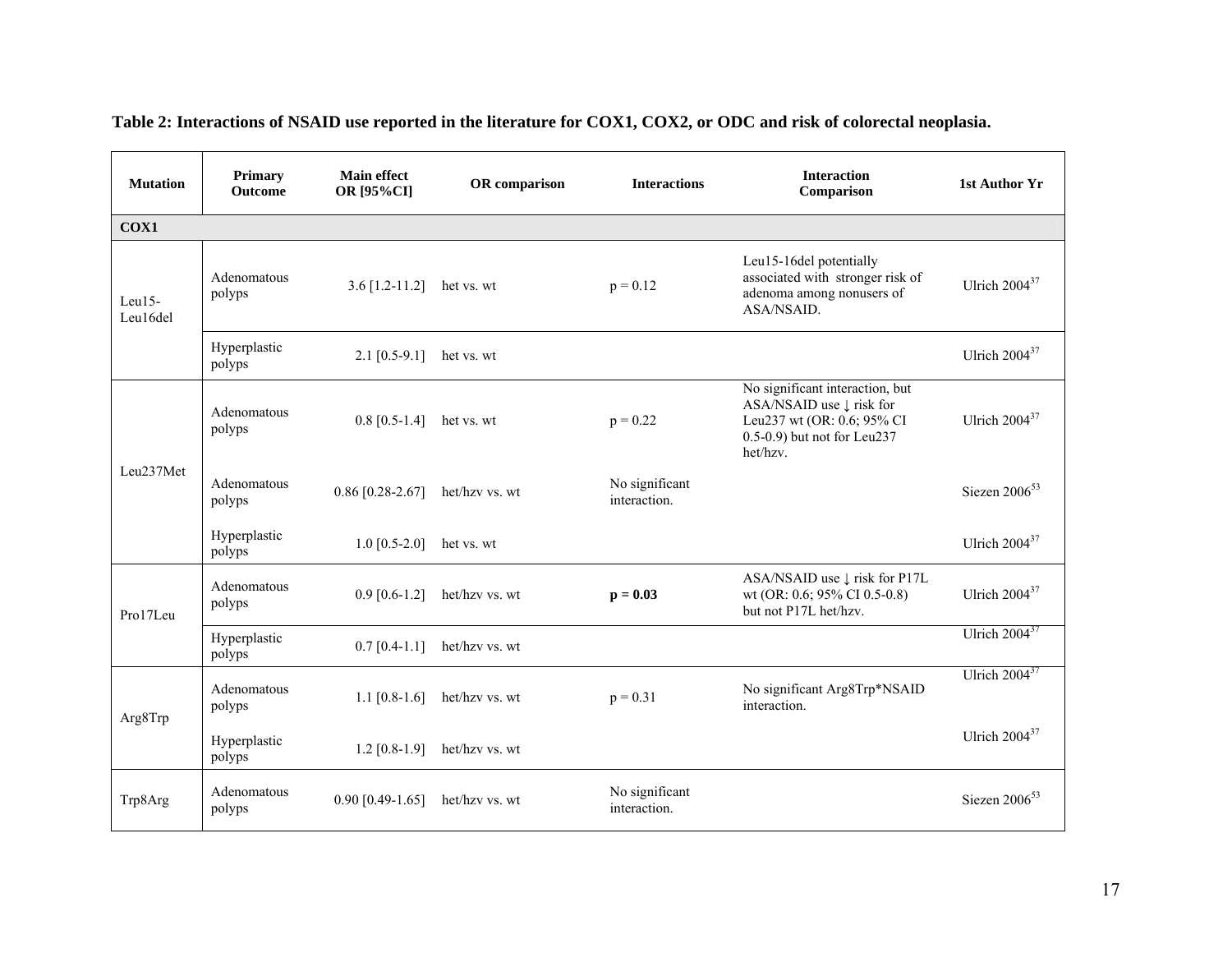| <b>Mutation</b>    | Primary<br><b>Outcome</b> | <b>Main effect</b><br>OR [95%CI] | OR comparison  | <b>Interactions</b>            | <b>Interaction</b><br>Comparison                                                                                                     | 1st Author Yr             |
|--------------------|---------------------------|----------------------------------|----------------|--------------------------------|--------------------------------------------------------------------------------------------------------------------------------------|---------------------------|
| COX1               |                           |                                  |                |                                |                                                                                                                                      |                           |
| Leu15-<br>Leu16del | Adenomatous<br>polyps     | 3.6 $[1.2-11.2]$ het vs. wt      |                | $p = 0.12$                     | Leu15-16del potentially<br>associated with stronger risk of<br>adenoma among nonusers of<br>ASA/NSAID.                               | Ulrich $2004^{37}$        |
|                    | Hyperplastic<br>polyps    | $2.1$ [0.5-9.1]                  | het vs. wt     |                                |                                                                                                                                      | Ulrich $2004^{37}$        |
|                    | Adenomatous<br>polyps     | $0.8$ [0.5-1.4] het vs. wt       |                | $p = 0.22$                     | No significant interaction, but<br>ASA/NSAID use ↓ risk for<br>Leu237 wt (OR: 0.6; 95% CI<br>0.5-0.9) but not for Leu237<br>het/hzv. | Ulrich $2004^{37}$        |
| Leu237Met          | Adenomatous<br>polyps     | $0.86$ [0.28-2.67]               | het/hzv vs. wt | No significant<br>interaction. |                                                                                                                                      | Siezen $2006^{53}$        |
|                    | Hyperplastic<br>polyps    | $1.0$ [0.5-2.0]                  | het vs. wt     |                                |                                                                                                                                      | Ulrich $2004^{37}$        |
| Pro17Leu           | Adenomatous<br>polyps     | $0.9$ [0.6-1.2]                  | het/hzv vs. wt | $p = 0.03$                     | ASA/NSAID use ↓ risk for P17L<br>wt (OR: 0.6; 95% CI 0.5-0.8)<br>but not P17L het/hzv.                                               | Ulrich $2004^{37}$        |
|                    | Hyperplastic<br>polyps    | $0.7$ [0.4-1.1]                  | het/hzv vs. wt |                                |                                                                                                                                      | Ulrich $2004^{37}$        |
| Arg8Trp            | Adenomatous<br>polyps     | 1.1 $[0.8-1.6]$                  | het/hzv vs. wt | $p = 0.31$                     | No significant Arg8Trp*NSAID<br>interaction.                                                                                         | Ulrich $2004^{37}$        |
|                    | Hyperplastic<br>polyps    | $1.2$ [0.8-1.9]                  | het/hzv vs. wt |                                |                                                                                                                                      | Ulrich 2004 <sup>37</sup> |
| Trp8Arg            | Adenomatous<br>polyps     | $0.90$ [0.49-1.65]               | het/hzv vs. wt | No significant<br>interaction. |                                                                                                                                      | Siezen $2006^{53}$        |

# **Table 2: Interactions of NSAID use reported in the literature for COX1, COX2, or ODC and risk of colorectal neoplasia.**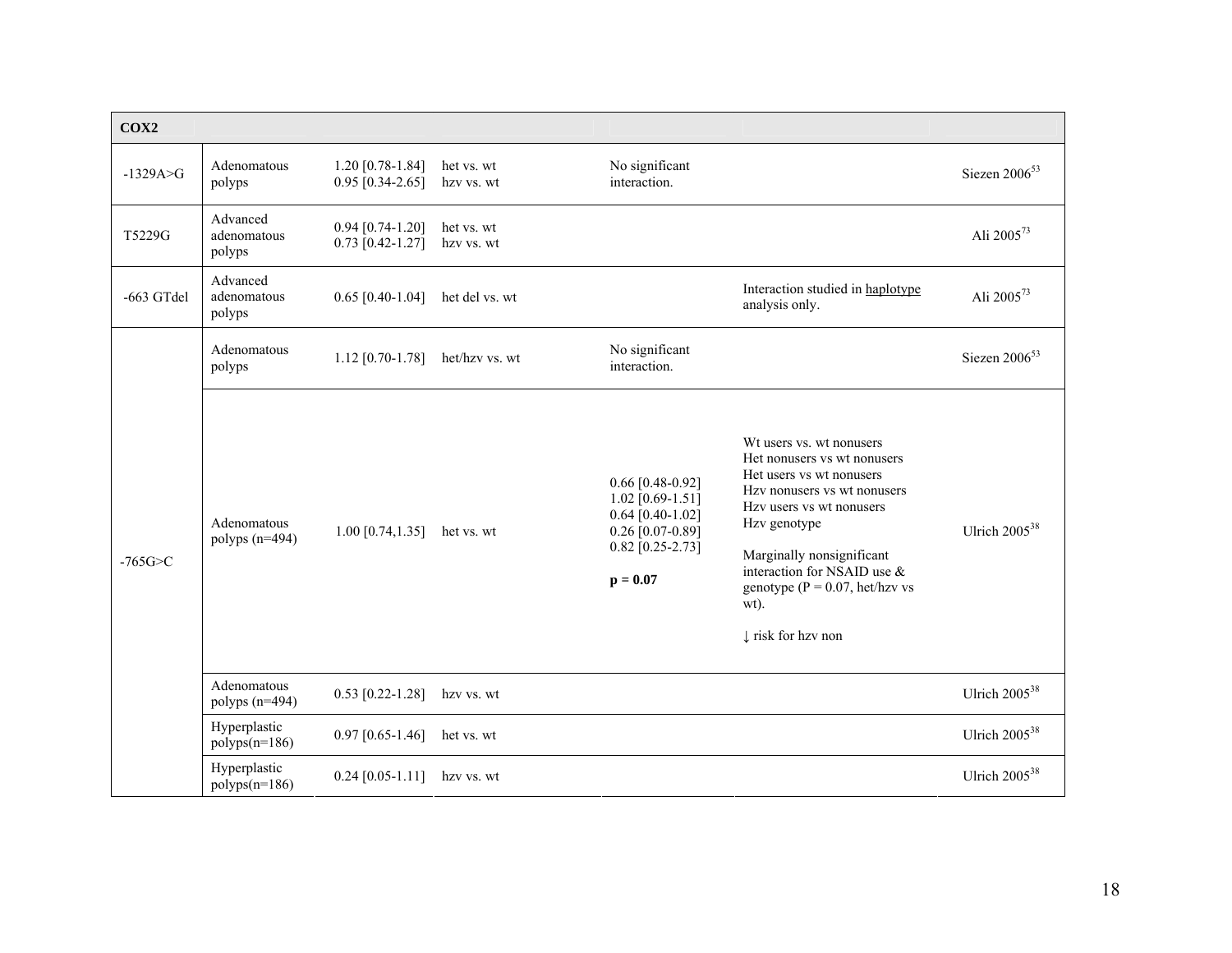| COX2           |                                   |                                          |                          |                                                                                                                            |                                                                                                                                                                                                                                                                                                           |                        |
|----------------|-----------------------------------|------------------------------------------|--------------------------|----------------------------------------------------------------------------------------------------------------------------|-----------------------------------------------------------------------------------------------------------------------------------------------------------------------------------------------------------------------------------------------------------------------------------------------------------|------------------------|
| $-1329A > G$   | Adenomatous<br>polyps             | $1.20$ [0.78-1.84]<br>$0.95$ [0.34-2.65] | het vs. wt<br>hzv vs. wt | No significant<br>interaction.                                                                                             |                                                                                                                                                                                                                                                                                                           | Siezen $2006^{53}$     |
| T5229G         | Advanced<br>adenomatous<br>polyps | $0.94$ [0.74-1.20]<br>$0.73$ [0.42-1.27] | het vs. wt<br>hzv vs. wt |                                                                                                                            |                                                                                                                                                                                                                                                                                                           | Ali 2005 <sup>73</sup> |
| -663 GTdel     | Advanced<br>adenomatous<br>polyps | $0.65$ [0.40-1.04]                       | het del vs. wt           |                                                                                                                            | Interaction studied in haplotype<br>analysis only.                                                                                                                                                                                                                                                        | Ali 2005 <sup>73</sup> |
| $-765$ G $>$ C | Adenomatous<br>polyps             | $1.12$ [0.70-1.78]                       | het/hzv vs. wt           | No significant<br>interaction.                                                                                             |                                                                                                                                                                                                                                                                                                           | Siezen $2006^{53}$     |
|                | Adenomatous<br>polyps $(n=494)$   | $1.00$ [0.74,1.35]                       | het vs. wt               | $0.66$ [0.48-0.92]<br>1.02 $[0.69 - 1.51]$<br>$0.64$ [0.40-1.02]<br>$0.26$ [0.07-0.89]<br>$0.82$ [0.25-2.73]<br>$p = 0.07$ | Wt users vs. wt nonusers<br>Het nonusers vs wt nonusers<br>Het users vs wt nonusers<br>Hzy nonusers vs wt nonusers<br>Hzv users vs wt nonusers<br>Hzv genotype<br>Marginally nonsignificant<br>interaction for NSAID use &<br>genotype ( $P = 0.07$ , het/hzv vs<br>wt).<br>$\downarrow$ risk for hzv non | Ulrich $2005^{38}$     |
|                | Adenomatous<br>polyps $(n=494)$   | $0.53$ [0.22-1.28]                       | hzv vs. wt               |                                                                                                                            |                                                                                                                                                                                                                                                                                                           | Ulrich $2005^{38}$     |
|                | Hyperplastic<br>$polyps(n=186)$   | $0.97$ [0.65-1.46]                       | het vs. wt               |                                                                                                                            |                                                                                                                                                                                                                                                                                                           | Ulrich $2005^{38}$     |
|                | Hyperplastic<br>$polyps(n=186)$   | $0.24$ [0.05-1.11]                       | hzv vs. wt               |                                                                                                                            |                                                                                                                                                                                                                                                                                                           | Ulrich $2005^{38}$     |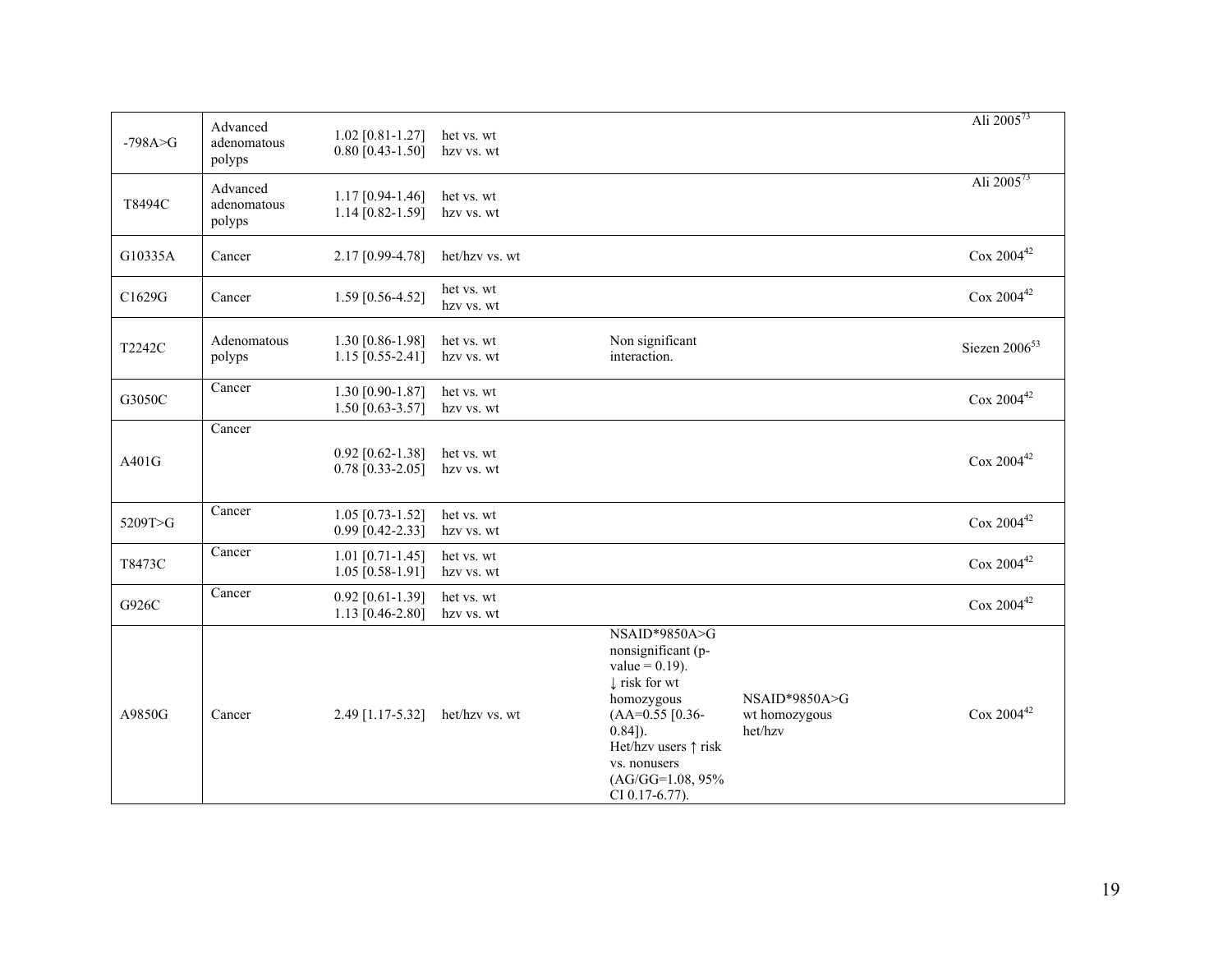|             | Advanced                          | $1.02$ [0.81-1.27]                         | het vs. wt               |                                                                                                                                                                                                                        |                                           | Ali $2005^{73}$           |
|-------------|-----------------------------------|--------------------------------------------|--------------------------|------------------------------------------------------------------------------------------------------------------------------------------------------------------------------------------------------------------------|-------------------------------------------|---------------------------|
| $-798A > G$ | adenomatous<br>polyps             | $0.80$ [0.43-1.50]                         | hzv vs. wt               |                                                                                                                                                                                                                        |                                           |                           |
| T8494C      | Advanced<br>adenomatous<br>polyps | $1.17$ [0.94-1.46]<br>$1.14$ [0.82-1.59]   | het vs. wt<br>hzv vs. wt |                                                                                                                                                                                                                        |                                           | Ali 2005 <sup>73</sup>    |
| G10335A     | Cancer                            | 2.17 [0.99-4.78]                           | het/hzv vs. wt           |                                                                                                                                                                                                                        |                                           | $\cos 2004^{42}$          |
| C1629G      | Cancer                            | 1.59 [0.56-4.52]                           | het vs. wt<br>hzv vs. wt |                                                                                                                                                                                                                        |                                           | $\cos 2004^{42}$          |
| T2242C      | Adenomatous<br>polyps             | 1.30 [0.86-1.98]<br>1.15 $[0.55-2.41]$     | het vs. wt<br>hzv vs. wt | Non significant<br>interaction.                                                                                                                                                                                        |                                           | Siezen 2006 <sup>53</sup> |
| G3050C      | Cancer                            | 1.30 [0.90-1.87]<br>1.50 $[0.63 - 3.57]$   | het vs. wt<br>hzv vs. wt |                                                                                                                                                                                                                        |                                           | $\cos 2004^{42}$          |
|             | Cancer                            |                                            |                          |                                                                                                                                                                                                                        |                                           |                           |
| A401G       |                                   | $0.92$ [0.62-1.38]<br>$0.78$ [0.33-2.05]   | het vs. wt<br>hzv vs. wt |                                                                                                                                                                                                                        |                                           | $\cos 2004^{42}$          |
| 5209T>G     | Cancer                            | $1.05$ [0.73-1.52]<br>$0.99$ [0.42-2.33]   | het vs. wt<br>hzv vs. wt |                                                                                                                                                                                                                        |                                           | $\cos 2004^{42}$          |
| T8473C      | Cancer                            | $1.01$ [0.71-1.45]<br>$1.05$ [0.58-1.91]   | het vs. wt<br>hzv vs. wt |                                                                                                                                                                                                                        |                                           | $\cos 2004^{42}$          |
| G926C       | $\overline{C}$ ancer              | $0.92$ [0.61-1.39]<br>1.13 $[0.46 - 2.80]$ | het vs. wt<br>hzv vs. wt |                                                                                                                                                                                                                        |                                           | $\cos 2004^{42}$          |
| A9850G      | Cancer                            | 2.49 [1.17-5.32]                           | het/hzv vs. wt           | NSAID*9850A>G<br>nonsignificant (p-<br>$value = 0.19$ ).<br>$\downarrow$ risk for wt<br>homozygous<br>$(AA=0.55$ [0.36-<br>$(0.84)$ .<br>Het/hzv users ↑ risk<br>vs. nonusers<br>$(AG/GG=1.08, 95\%$<br>CI 0.17-6.77). | NSAID*9850A>G<br>wt homozygous<br>het/hzv | $\cos 2004^{42}$          |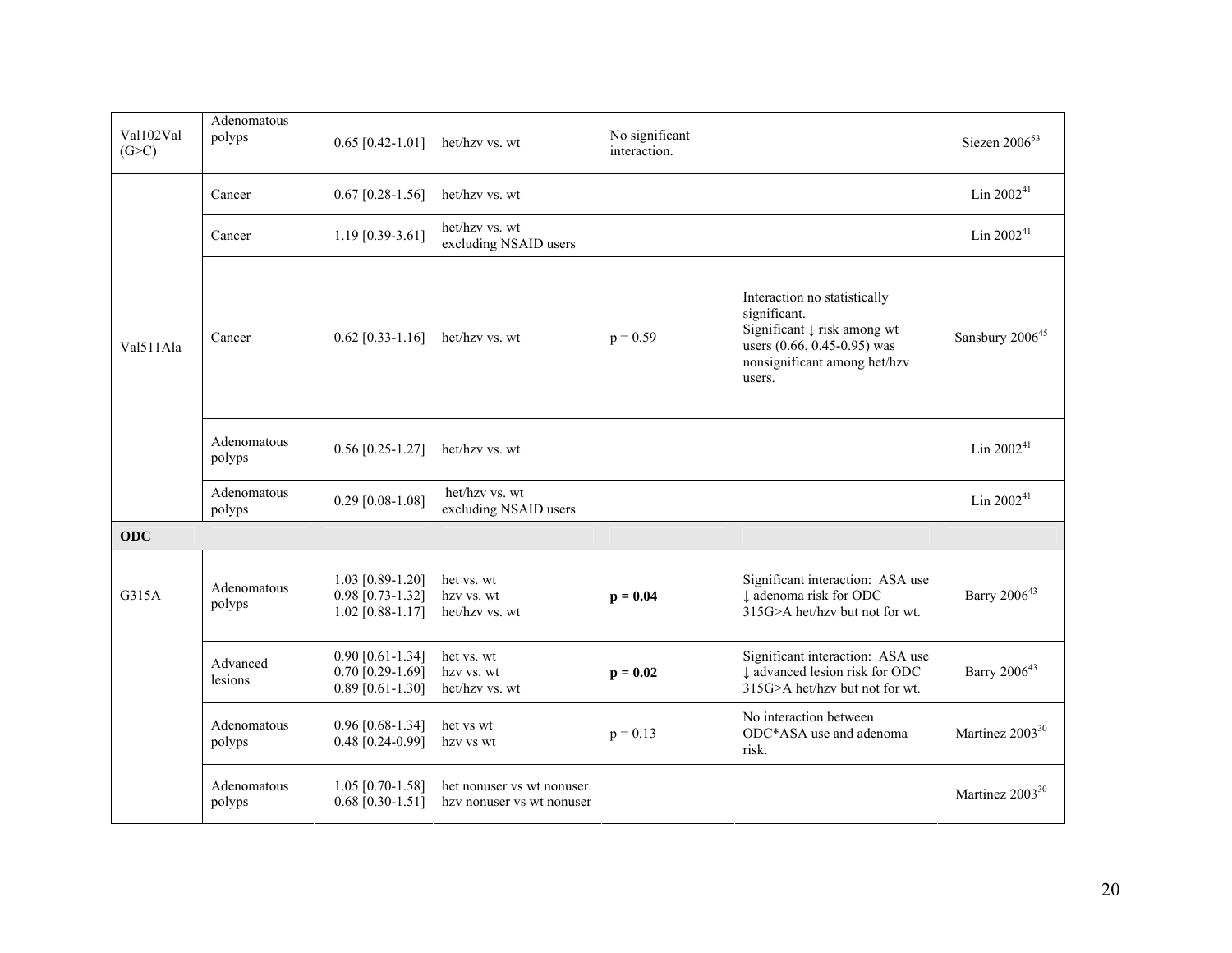| Val102Val<br>(G>C) | Adenomatous<br>polyps | $0.65$ [0.42-1.01]                                             | het/hzv vs. wt                                         | No significant<br>interaction. |                                                                                                                                                                 | Siezen $2006^{53}$          |
|--------------------|-----------------------|----------------------------------------------------------------|--------------------------------------------------------|--------------------------------|-----------------------------------------------------------------------------------------------------------------------------------------------------------------|-----------------------------|
|                    | Cancer                | $0.67$ [0.28-1.56]                                             | het/hzv vs. wt                                         |                                |                                                                                                                                                                 | Lin $2002^{41}$             |
| Val511Ala          | Cancer                | 1.19 $[0.39 - 3.61]$                                           | het/hzv vs. wt<br>excluding NSAID users                |                                |                                                                                                                                                                 | Lin $2002^{41}$             |
|                    | Cancer                | $0.62$ [0.33-1.16]                                             | het/hzv vs. wt                                         | $p = 0.59$                     | Interaction no statistically<br>significant.<br>Significant $\downarrow$ risk among wt<br>users (0.66, 0.45-0.95) was<br>nonsignificant among het/hzv<br>users. | Sansbury 2006 <sup>45</sup> |
|                    | Adenomatous<br>polyps | $0.56$ [0.25-1.27]                                             | het/hzv vs. wt                                         |                                |                                                                                                                                                                 | Lin $2002^{41}$             |
|                    | Adenomatous<br>polyps | $0.29$ [0.08-1.08]                                             | het/hzv vs. wt<br>excluding NSAID users                |                                |                                                                                                                                                                 | Lin $2002^{41}$             |
| <b>ODC</b>         |                       |                                                                |                                                        |                                |                                                                                                                                                                 |                             |
| G315A              | Adenomatous<br>polyps | $1.03$ [0.89-1.20]<br>$0.98$ [0.73-1.32]<br>$1.02$ [0.88-1.17] | het vs. wt<br>hzv vs. wt<br>het/hzv vs. wt             | $p = 0.04$                     | Significant interaction: ASA use<br>I adenoma risk for ODC<br>315G>A het/hzv but not for wt.                                                                    | Barry 2006 <sup>43</sup>    |
|                    | Advanced<br>lesions   | $0.90$ [0.61-1.34]<br>$0.70$ [0.29-1.69]<br>$0.89$ [0.61-1.30] | het vs. wt<br>hzv vs. wt<br>het/hzv vs. wt             | $p = 0.02$                     | Significant interaction: ASA use<br>↓ advanced lesion risk for ODC<br>315G>A het/hzv but not for wt.                                                            | Barry 2006 <sup>43</sup>    |
|                    | Adenomatous<br>polyps | $0.96$ [0.68-1.34]<br>$0.48$ [0.24-0.99]                       | het vs wt<br>hzv vs wt                                 | $p = 0.13$                     | No interaction between<br>ODC*ASA use and adenoma<br>risk.                                                                                                      | Martinez 2003 <sup>30</sup> |
|                    | Adenomatous<br>polyps | $1.05$ [0.70-1.58]<br>$0.68$ [0.30-1.51]                       | het nonuser vs wt nonuser<br>hzy nonuser vs wt nonuser |                                |                                                                                                                                                                 | Martinez 2003 <sup>30</sup> |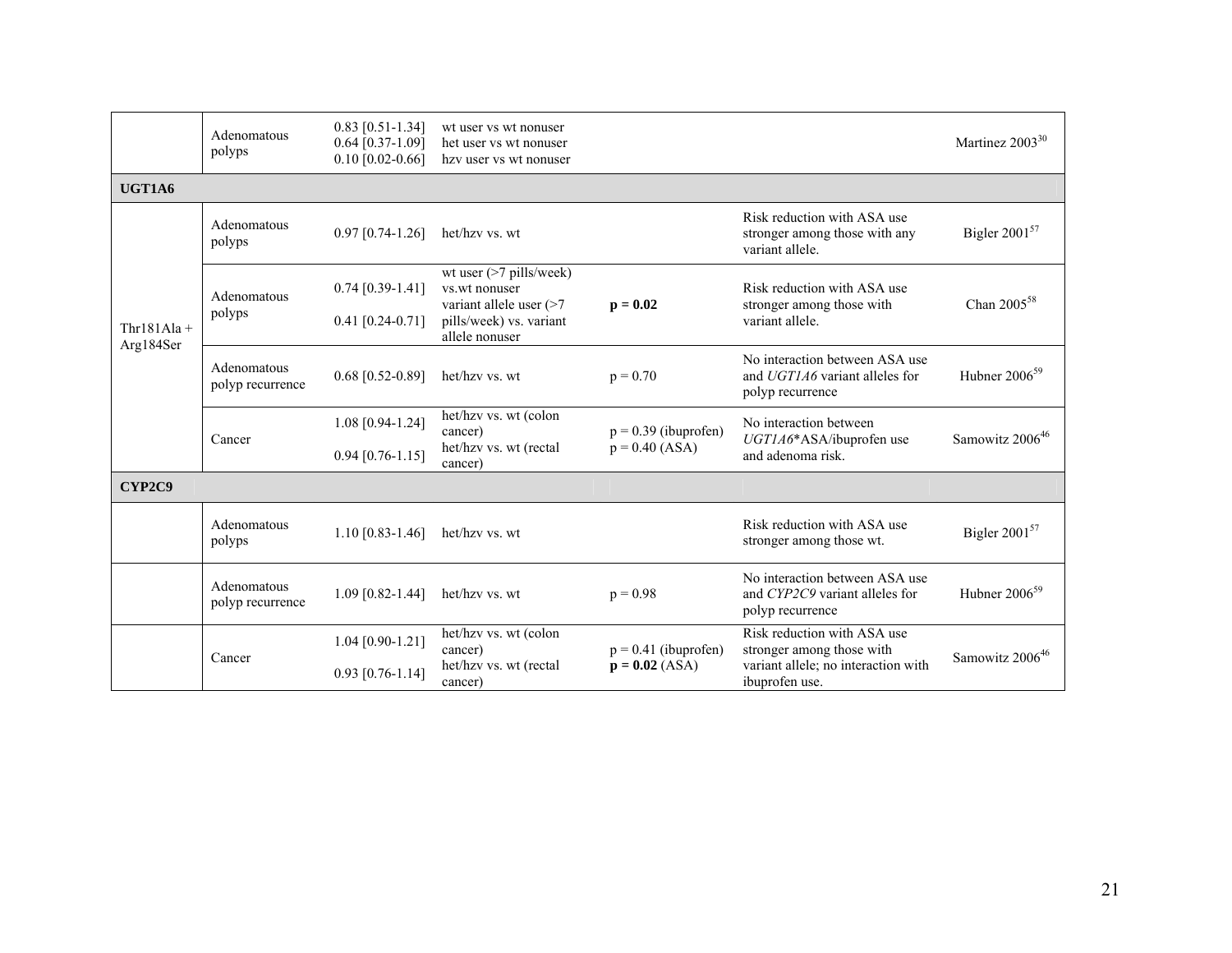|                            | Adenomatous<br>polyps           | $0.83$ [0.51-1.34]<br>$0.64$ [0.37-1.09]<br>$0.10$ [0.02-0.66] | wt user vs wt nonuser<br>het user vs wt nonuser<br>hzy user vs wt nonuser                                                 |                                            |                                                                                                                   | Martinez 2003 <sup>30</sup> |
|----------------------------|---------------------------------|----------------------------------------------------------------|---------------------------------------------------------------------------------------------------------------------------|--------------------------------------------|-------------------------------------------------------------------------------------------------------------------|-----------------------------|
| UGT1A6                     |                                 |                                                                |                                                                                                                           |                                            |                                                                                                                   |                             |
| $Thr181Ala +$<br>Arg184Ser | Adenomatous<br>polyps           | $0.97$ [0.74-1.26]                                             | het/hzv vs. wt                                                                                                            |                                            | Risk reduction with ASA use<br>stronger among those with any<br>variant allele.                                   | Bigler 2001 <sup>57</sup>   |
|                            | Adenomatous<br>polyps           | $0.74$ [0.39-1.41]<br>$0.41$ [0.24-0.71]                       | wt user $($ >7 pills/week $)$<br>vs.wt nonuser<br>variant allele user $($ >7<br>pills/week) vs. variant<br>allele nonuser | $p = 0.02$                                 | Risk reduction with ASA use<br>stronger among those with<br>variant allele.                                       | Chan 2005 <sup>58</sup>     |
|                            | Adenomatous<br>polyp recurrence | $0.68$ [0.52-0.89]                                             | het/hzv vs. wt                                                                                                            | $p = 0.70$                                 | No interaction between ASA use<br>and UGT1A6 variant alleles for<br>polyp recurrence                              | Hubner $2006^{59}$          |
|                            | Cancer                          | 1.08 [0.94-1.24]<br>$0.94$ [0.76-1.15]                         | het/hzv vs. wt (colon<br>cancer)<br>het/hzv vs. wt (rectal<br>cancer)                                                     | $p = 0.39$ (ibuprofen)<br>$p = 0.40$ (ASA) | No interaction between<br>UGT1A6*ASA/ibuprofen use<br>and adenoma risk.                                           | Samowitz 2006 <sup>46</sup> |
| CYP2C9                     |                                 |                                                                |                                                                                                                           |                                            |                                                                                                                   |                             |
|                            | Adenomatous<br>polyps           | $1.10$ [0.83-1.46]                                             | het/hzv vs. wt                                                                                                            |                                            | Risk reduction with ASA use<br>stronger among those wt.                                                           | Bigler $2001^{57}$          |
|                            | Adenomatous<br>polyp recurrence | $1.09$ [0.82-1.44]                                             | het/hzv vs. wt                                                                                                            | $p = 0.98$                                 | No interaction between ASA use<br>and CYP2C9 variant alleles for<br>polyp recurrence                              | Hubner $2006^{59}$          |
|                            | Cancer                          | $1.04$ [0.90-1.21]<br>$0.93$ [0.76-1.14]                       | het/hzv vs. wt (colon<br>cancer)<br>het/hzv vs. wt (rectal<br>cancer)                                                     | $p = 0.41$ (ibuprofen)<br>$p = 0.02$ (ASA) | Risk reduction with ASA use<br>stronger among those with<br>variant allele; no interaction with<br>ibuprofen use. | Samowitz 2006 <sup>46</sup> |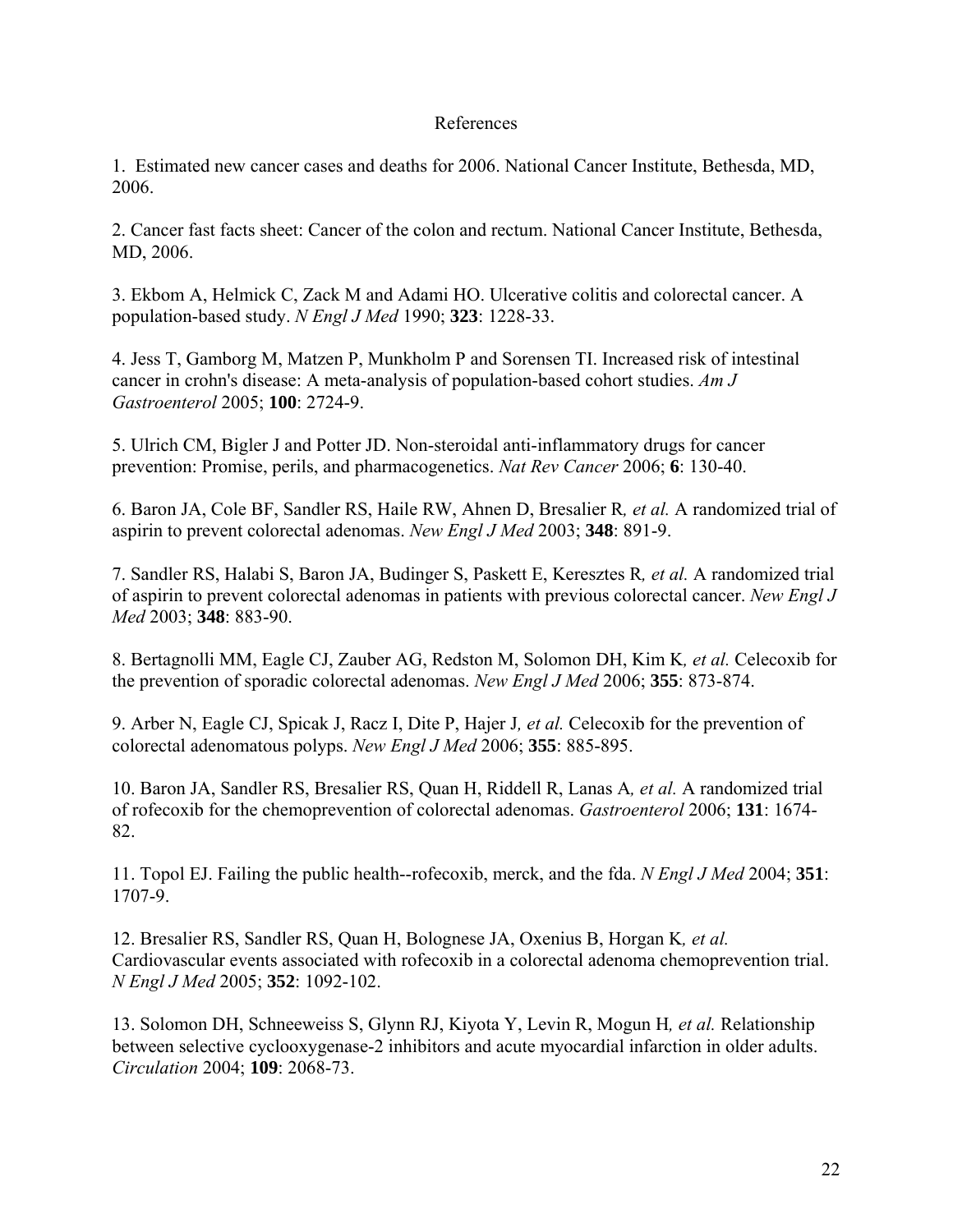# References

1. Estimated new cancer cases and deaths for 2006. National Cancer Institute, Bethesda, MD, 2006.

2. Cancer fast facts sheet: Cancer of the colon and rectum. National Cancer Institute, Bethesda, MD, 2006.

3. Ekbom A, Helmick C, Zack M and Adami HO. Ulcerative colitis and colorectal cancer. A population-based study. *N Engl J Med* 1990; **323**: 1228-33.

4. Jess T, Gamborg M, Matzen P, Munkholm P and Sorensen TI. Increased risk of intestinal cancer in crohn's disease: A meta-analysis of population-based cohort studies. *Am J Gastroenterol* 2005; **100**: 2724-9.

5. Ulrich CM, Bigler J and Potter JD. Non-steroidal anti-inflammatory drugs for cancer prevention: Promise, perils, and pharmacogenetics. *Nat Rev Cancer* 2006; **6**: 130-40.

6. Baron JA, Cole BF, Sandler RS, Haile RW, Ahnen D, Bresalier R*, et al.* A randomized trial of aspirin to prevent colorectal adenomas. *New Engl J Med* 2003; **348**: 891-9.

7. Sandler RS, Halabi S, Baron JA, Budinger S, Paskett E, Keresztes R*, et al.* A randomized trial of aspirin to prevent colorectal adenomas in patients with previous colorectal cancer. *New Engl J Med* 2003; **348**: 883-90.

8. Bertagnolli MM, Eagle CJ, Zauber AG, Redston M, Solomon DH, Kim K*, et al.* Celecoxib for the prevention of sporadic colorectal adenomas. *New Engl J Med* 2006; **355**: 873-874.

9. Arber N, Eagle CJ, Spicak J, Racz I, Dite P, Hajer J*, et al.* Celecoxib for the prevention of colorectal adenomatous polyps. *New Engl J Med* 2006; **355**: 885-895.

10. Baron JA, Sandler RS, Bresalier RS, Quan H, Riddell R, Lanas A*, et al.* A randomized trial of rofecoxib for the chemoprevention of colorectal adenomas. *Gastroenterol* 2006; **131**: 1674- 82.

11. Topol EJ. Failing the public health--rofecoxib, merck, and the fda. *N Engl J Med* 2004; **351**: 1707-9.

12. Bresalier RS, Sandler RS, Quan H, Bolognese JA, Oxenius B, Horgan K*, et al.* Cardiovascular events associated with rofecoxib in a colorectal adenoma chemoprevention trial. *N Engl J Med* 2005; **352**: 1092-102.

13. Solomon DH, Schneeweiss S, Glynn RJ, Kiyota Y, Levin R, Mogun H*, et al.* Relationship between selective cyclooxygenase-2 inhibitors and acute myocardial infarction in older adults. *Circulation* 2004; **109**: 2068-73.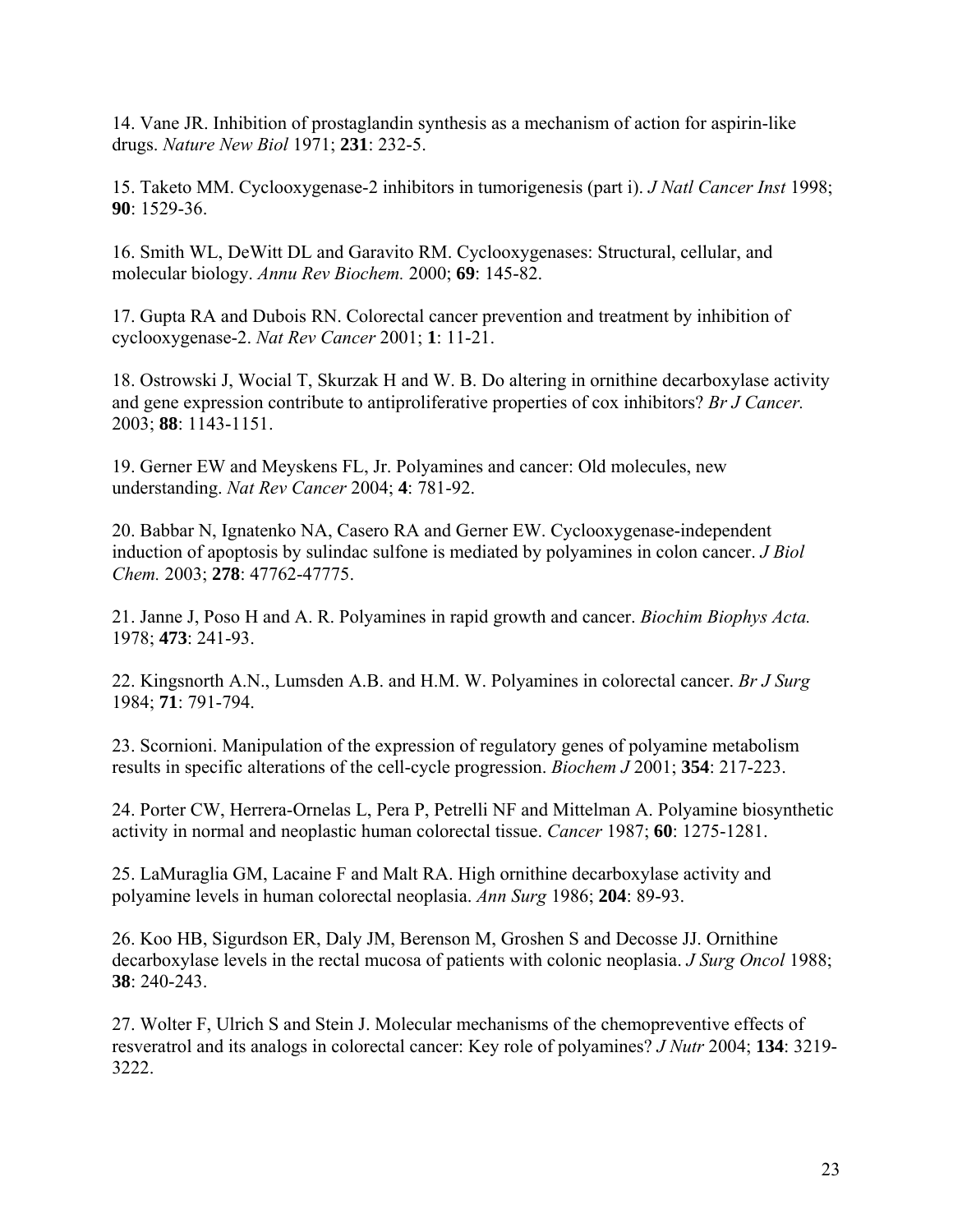14. Vane JR. Inhibition of prostaglandin synthesis as a mechanism of action for aspirin-like drugs. *Nature New Biol* 1971; **231**: 232-5.

15. Taketo MM. Cyclooxygenase-2 inhibitors in tumorigenesis (part i). *J Natl Cancer Inst* 1998; **90**: 1529-36.

16. Smith WL, DeWitt DL and Garavito RM. Cyclooxygenases: Structural, cellular, and molecular biology. *Annu Rev Biochem.* 2000; **69**: 145-82.

17. Gupta RA and Dubois RN. Colorectal cancer prevention and treatment by inhibition of cyclooxygenase-2. *Nat Rev Cancer* 2001; **1**: 11-21.

18. Ostrowski J, Wocial T, Skurzak H and W. B. Do altering in ornithine decarboxylase activity and gene expression contribute to antiproliferative properties of cox inhibitors? *Br J Cancer.* 2003; **88**: 1143-1151.

19. Gerner EW and Meyskens FL, Jr. Polyamines and cancer: Old molecules, new understanding. *Nat Rev Cancer* 2004; **4**: 781-92.

20. Babbar N, Ignatenko NA, Casero RA and Gerner EW. Cyclooxygenase-independent induction of apoptosis by sulindac sulfone is mediated by polyamines in colon cancer. *J Biol Chem.* 2003; **278**: 47762-47775.

21. Janne J, Poso H and A. R. Polyamines in rapid growth and cancer. *Biochim Biophys Acta.* 1978; **473**: 241-93.

22. Kingsnorth A.N., Lumsden A.B. and H.M. W. Polyamines in colorectal cancer. *Br J Surg* 1984; **71**: 791-794.

23. Scornioni. Manipulation of the expression of regulatory genes of polyamine metabolism results in specific alterations of the cell-cycle progression. *Biochem J* 2001; **354**: 217-223.

24. Porter CW, Herrera-Ornelas L, Pera P, Petrelli NF and Mittelman A. Polyamine biosynthetic activity in normal and neoplastic human colorectal tissue. *Cancer* 1987; **60**: 1275-1281.

25. LaMuraglia GM, Lacaine F and Malt RA. High ornithine decarboxylase activity and polyamine levels in human colorectal neoplasia. *Ann Surg* 1986; **204**: 89-93.

26. Koo HB, Sigurdson ER, Daly JM, Berenson M, Groshen S and Decosse JJ. Ornithine decarboxylase levels in the rectal mucosa of patients with colonic neoplasia. *J Surg Oncol* 1988; **38**: 240-243.

27. Wolter F, Ulrich S and Stein J. Molecular mechanisms of the chemopreventive effects of resveratrol and its analogs in colorectal cancer: Key role of polyamines? *J Nutr* 2004; **134**: 3219- 3222.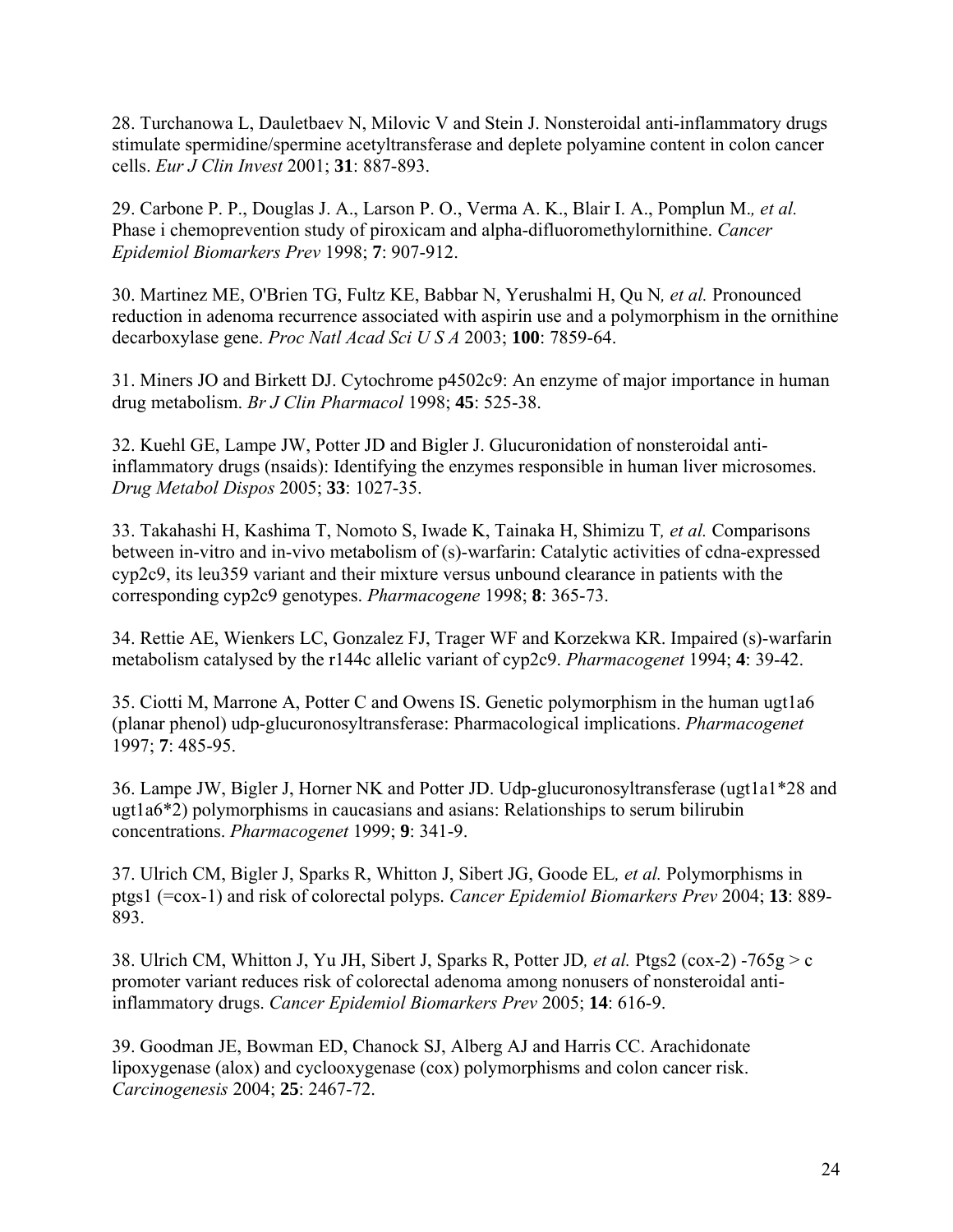28. Turchanowa L, Dauletbaev N, Milovic V and Stein J. Nonsteroidal anti-inflammatory drugs stimulate spermidine/spermine acetyltransferase and deplete polyamine content in colon cancer cells. *Eur J Clin Invest* 2001; **31**: 887-893.

29. Carbone P. P., Douglas J. A., Larson P. O., Verma A. K., Blair I. A., Pomplun M.*, et al.* Phase i chemoprevention study of piroxicam and alpha-difluoromethylornithine. *Cancer Epidemiol Biomarkers Prev* 1998; **7**: 907-912.

30. Martinez ME, O'Brien TG, Fultz KE, Babbar N, Yerushalmi H, Qu N*, et al.* Pronounced reduction in adenoma recurrence associated with aspirin use and a polymorphism in the ornithine decarboxylase gene. *Proc Natl Acad Sci U S A* 2003; **100**: 7859-64.

31. Miners JO and Birkett DJ. Cytochrome p4502c9: An enzyme of major importance in human drug metabolism. *Br J Clin Pharmacol* 1998; **45**: 525-38.

32. Kuehl GE, Lampe JW, Potter JD and Bigler J. Glucuronidation of nonsteroidal antiinflammatory drugs (nsaids): Identifying the enzymes responsible in human liver microsomes. *Drug Metabol Dispos* 2005; **33**: 1027-35.

33. Takahashi H, Kashima T, Nomoto S, Iwade K, Tainaka H, Shimizu T*, et al.* Comparisons between in-vitro and in-vivo metabolism of (s)-warfarin: Catalytic activities of cdna-expressed cyp2c9, its leu359 variant and their mixture versus unbound clearance in patients with the corresponding cyp2c9 genotypes. *Pharmacogene* 1998; **8**: 365-73.

34. Rettie AE, Wienkers LC, Gonzalez FJ, Trager WF and Korzekwa KR. Impaired (s)-warfarin metabolism catalysed by the r144c allelic variant of cyp2c9. *Pharmacogenet* 1994; **4**: 39-42.

35. Ciotti M, Marrone A, Potter C and Owens IS. Genetic polymorphism in the human ugt1a6 (planar phenol) udp-glucuronosyltransferase: Pharmacological implications. *Pharmacogenet* 1997; **7**: 485-95.

36. Lampe JW, Bigler J, Horner NK and Potter JD. Udp-glucuronosyltransferase (ugt1a1\*28 and ugt1a6\*2) polymorphisms in caucasians and asians: Relationships to serum bilirubin concentrations. *Pharmacogenet* 1999; **9**: 341-9.

37. Ulrich CM, Bigler J, Sparks R, Whitton J, Sibert JG, Goode EL*, et al.* Polymorphisms in ptgs1 (=cox-1) and risk of colorectal polyps. *Cancer Epidemiol Biomarkers Prev* 2004; **13**: 889- 893.

38. Ulrich CM, Whitton J, Yu JH, Sibert J, Sparks R, Potter JD*, et al.* Ptgs2 (cox-2) -765g > c promoter variant reduces risk of colorectal adenoma among nonusers of nonsteroidal antiinflammatory drugs. *Cancer Epidemiol Biomarkers Prev* 2005; **14**: 616-9.

39. Goodman JE, Bowman ED, Chanock SJ, Alberg AJ and Harris CC. Arachidonate lipoxygenase (alox) and cyclooxygenase (cox) polymorphisms and colon cancer risk. *Carcinogenesis* 2004; **25**: 2467-72.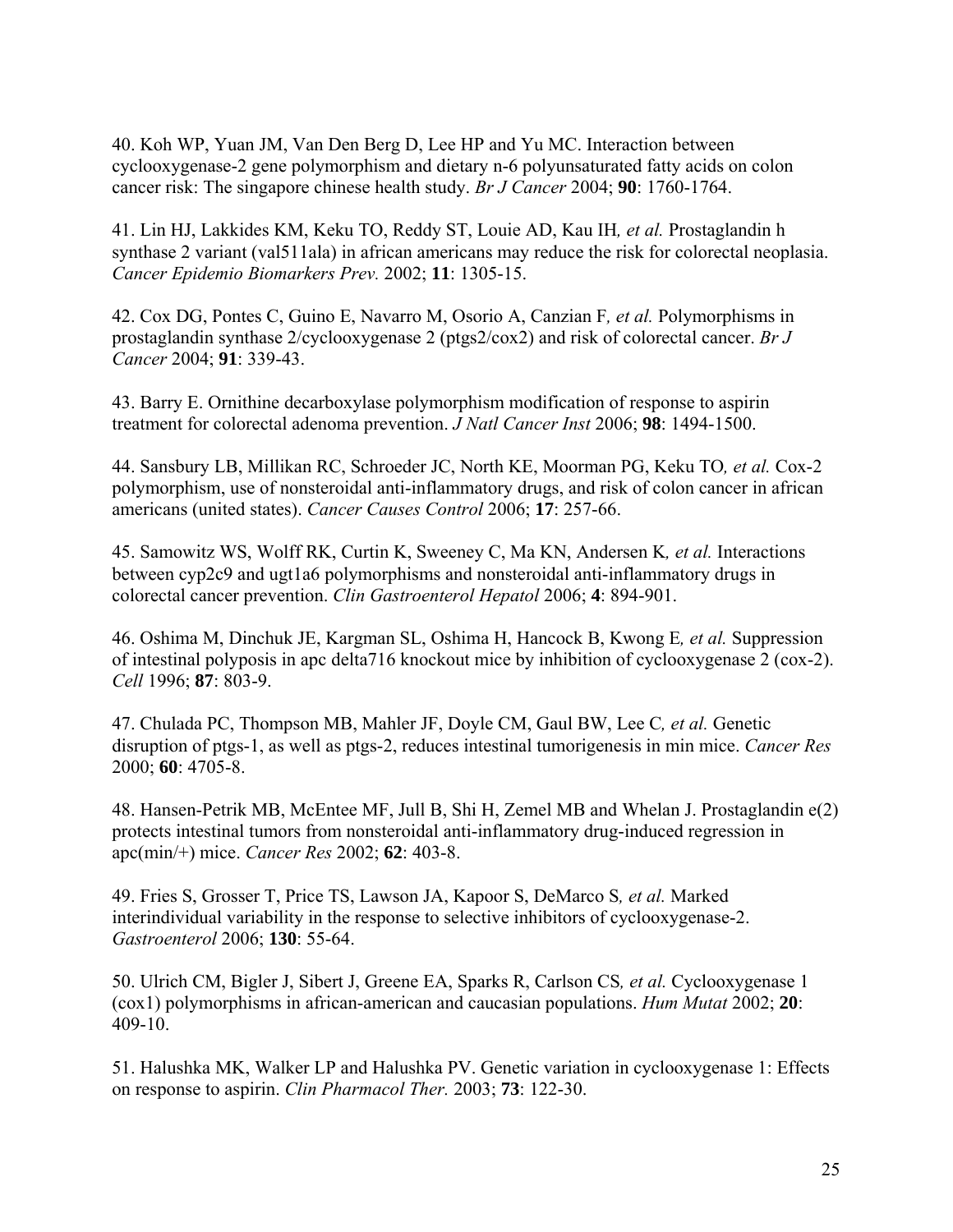40. Koh WP, Yuan JM, Van Den Berg D, Lee HP and Yu MC. Interaction between cyclooxygenase-2 gene polymorphism and dietary n-6 polyunsaturated fatty acids on colon cancer risk: The singapore chinese health study. *Br J Cancer* 2004; **90**: 1760-1764.

41. Lin HJ, Lakkides KM, Keku TO, Reddy ST, Louie AD, Kau IH*, et al.* Prostaglandin h synthase 2 variant (val511ala) in african americans may reduce the risk for colorectal neoplasia. *Cancer Epidemio Biomarkers Prev.* 2002; **11**: 1305-15.

42. Cox DG, Pontes C, Guino E, Navarro M, Osorio A, Canzian F*, et al.* Polymorphisms in prostaglandin synthase 2/cyclooxygenase 2 (ptgs2/cox2) and risk of colorectal cancer. *Br J Cancer* 2004; **91**: 339-43.

43. Barry E. Ornithine decarboxylase polymorphism modification of response to aspirin treatment for colorectal adenoma prevention. *J Natl Cancer Inst* 2006; **98**: 1494-1500.

44. Sansbury LB, Millikan RC, Schroeder JC, North KE, Moorman PG, Keku TO*, et al.* Cox-2 polymorphism, use of nonsteroidal anti-inflammatory drugs, and risk of colon cancer in african americans (united states). *Cancer Causes Control* 2006; **17**: 257-66.

45. Samowitz WS, Wolff RK, Curtin K, Sweeney C, Ma KN, Andersen K*, et al.* Interactions between cyp2c9 and ugt1a6 polymorphisms and nonsteroidal anti-inflammatory drugs in colorectal cancer prevention. *Clin Gastroenterol Hepatol* 2006; **4**: 894-901.

46. Oshima M, Dinchuk JE, Kargman SL, Oshima H, Hancock B, Kwong E*, et al.* Suppression of intestinal polyposis in apc delta716 knockout mice by inhibition of cyclooxygenase 2 (cox-2). *Cell* 1996; **87**: 803-9.

47. Chulada PC, Thompson MB, Mahler JF, Doyle CM, Gaul BW, Lee C*, et al.* Genetic disruption of ptgs-1, as well as ptgs-2, reduces intestinal tumorigenesis in min mice. *Cancer Res* 2000; **60**: 4705-8.

48. Hansen-Petrik MB, McEntee MF, Jull B, Shi H, Zemel MB and Whelan J. Prostaglandin e(2) protects intestinal tumors from nonsteroidal anti-inflammatory drug-induced regression in apc(min/+) mice. *Cancer Res* 2002; **62**: 403-8.

49. Fries S, Grosser T, Price TS, Lawson JA, Kapoor S, DeMarco S*, et al.* Marked interindividual variability in the response to selective inhibitors of cyclooxygenase-2. *Gastroenterol* 2006; **130**: 55-64.

50. Ulrich CM, Bigler J, Sibert J, Greene EA, Sparks R, Carlson CS*, et al.* Cyclooxygenase 1 (cox1) polymorphisms in african-american and caucasian populations. *Hum Mutat* 2002; **20**: 409-10.

51. Halushka MK, Walker LP and Halushka PV. Genetic variation in cyclooxygenase 1: Effects on response to aspirin. *Clin Pharmacol Ther.* 2003; **73**: 122-30.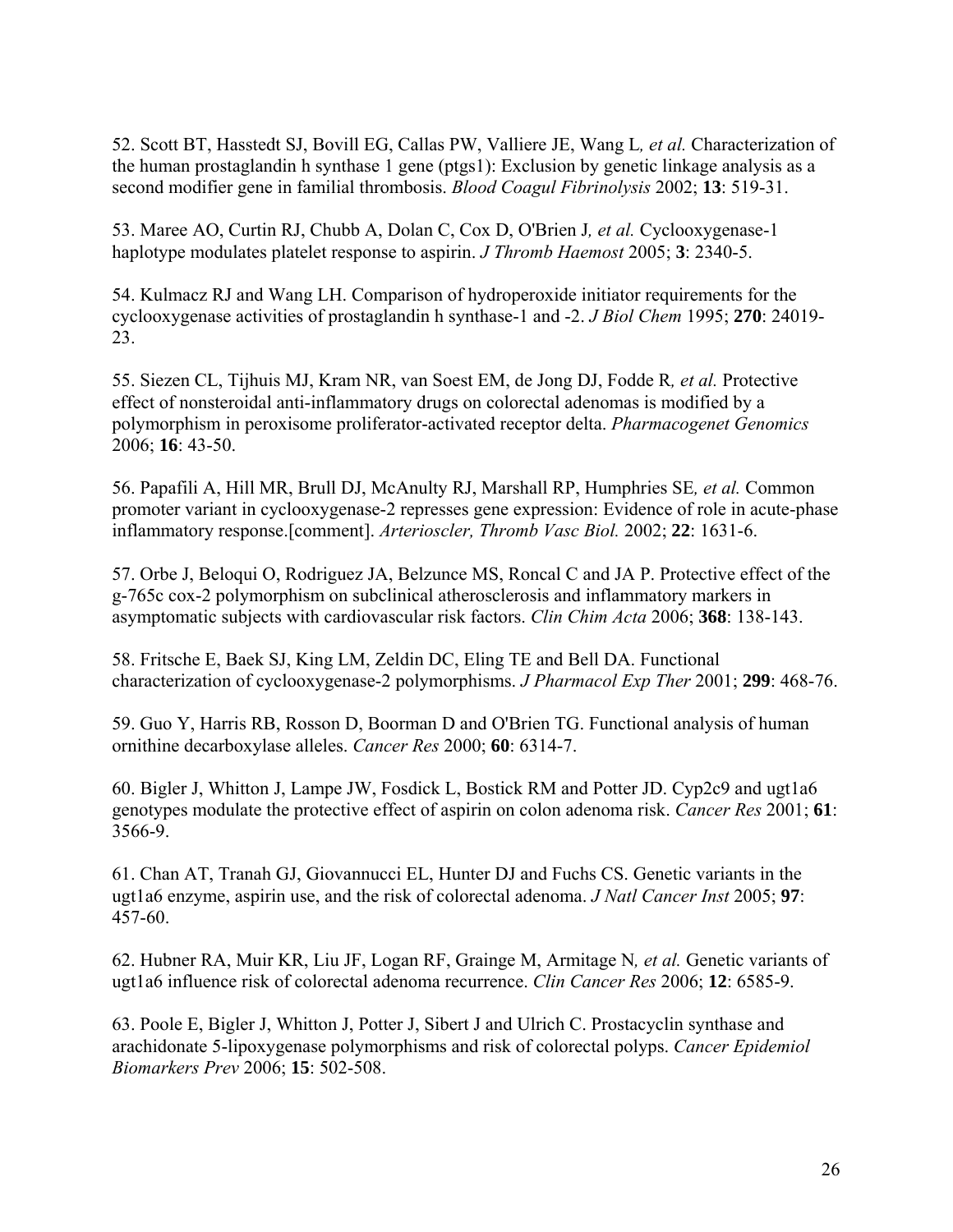52. Scott BT, Hasstedt SJ, Bovill EG, Callas PW, Valliere JE, Wang L*, et al.* Characterization of the human prostaglandin h synthase 1 gene (ptgs1): Exclusion by genetic linkage analysis as a second modifier gene in familial thrombosis. *Blood Coagul Fibrinolysis* 2002; **13**: 519-31.

53. Maree AO, Curtin RJ, Chubb A, Dolan C, Cox D, O'Brien J*, et al.* Cyclooxygenase-1 haplotype modulates platelet response to aspirin. *J Thromb Haemost* 2005; **3**: 2340-5.

54. Kulmacz RJ and Wang LH. Comparison of hydroperoxide initiator requirements for the cyclooxygenase activities of prostaglandin h synthase-1 and -2. *J Biol Chem* 1995; **270**: 24019- 23.

55. Siezen CL, Tijhuis MJ, Kram NR, van Soest EM, de Jong DJ, Fodde R*, et al.* Protective effect of nonsteroidal anti-inflammatory drugs on colorectal adenomas is modified by a polymorphism in peroxisome proliferator-activated receptor delta. *Pharmacogenet Genomics* 2006; **16**: 43-50.

56. Papafili A, Hill MR, Brull DJ, McAnulty RJ, Marshall RP, Humphries SE*, et al.* Common promoter variant in cyclooxygenase-2 represses gene expression: Evidence of role in acute-phase inflammatory response.[comment]. *Arterioscler, Thromb Vasc Biol.* 2002; **22**: 1631-6.

57. Orbe J, Beloqui O, Rodriguez JA, Belzunce MS, Roncal C and JA P. Protective effect of the g-765c cox-2 polymorphism on subclinical atherosclerosis and inflammatory markers in asymptomatic subjects with cardiovascular risk factors. *Clin Chim Acta* 2006; **368**: 138-143.

58. Fritsche E, Baek SJ, King LM, Zeldin DC, Eling TE and Bell DA. Functional characterization of cyclooxygenase-2 polymorphisms. *J Pharmacol Exp Ther* 2001; **299**: 468-76.

59. Guo Y, Harris RB, Rosson D, Boorman D and O'Brien TG. Functional analysis of human ornithine decarboxylase alleles. *Cancer Res* 2000; **60**: 6314-7.

60. Bigler J, Whitton J, Lampe JW, Fosdick L, Bostick RM and Potter JD. Cyp2c9 and ugt1a6 genotypes modulate the protective effect of aspirin on colon adenoma risk. *Cancer Res* 2001; **61**: 3566-9.

61. Chan AT, Tranah GJ, Giovannucci EL, Hunter DJ and Fuchs CS. Genetic variants in the ugt1a6 enzyme, aspirin use, and the risk of colorectal adenoma. *J Natl Cancer Inst* 2005; **97**: 457-60.

62. Hubner RA, Muir KR, Liu JF, Logan RF, Grainge M, Armitage N*, et al.* Genetic variants of ugt1a6 influence risk of colorectal adenoma recurrence. *Clin Cancer Res* 2006; **12**: 6585-9.

63. Poole E, Bigler J, Whitton J, Potter J, Sibert J and Ulrich C. Prostacyclin synthase and arachidonate 5-lipoxygenase polymorphisms and risk of colorectal polyps. *Cancer Epidemiol Biomarkers Prev* 2006; **15**: 502-508.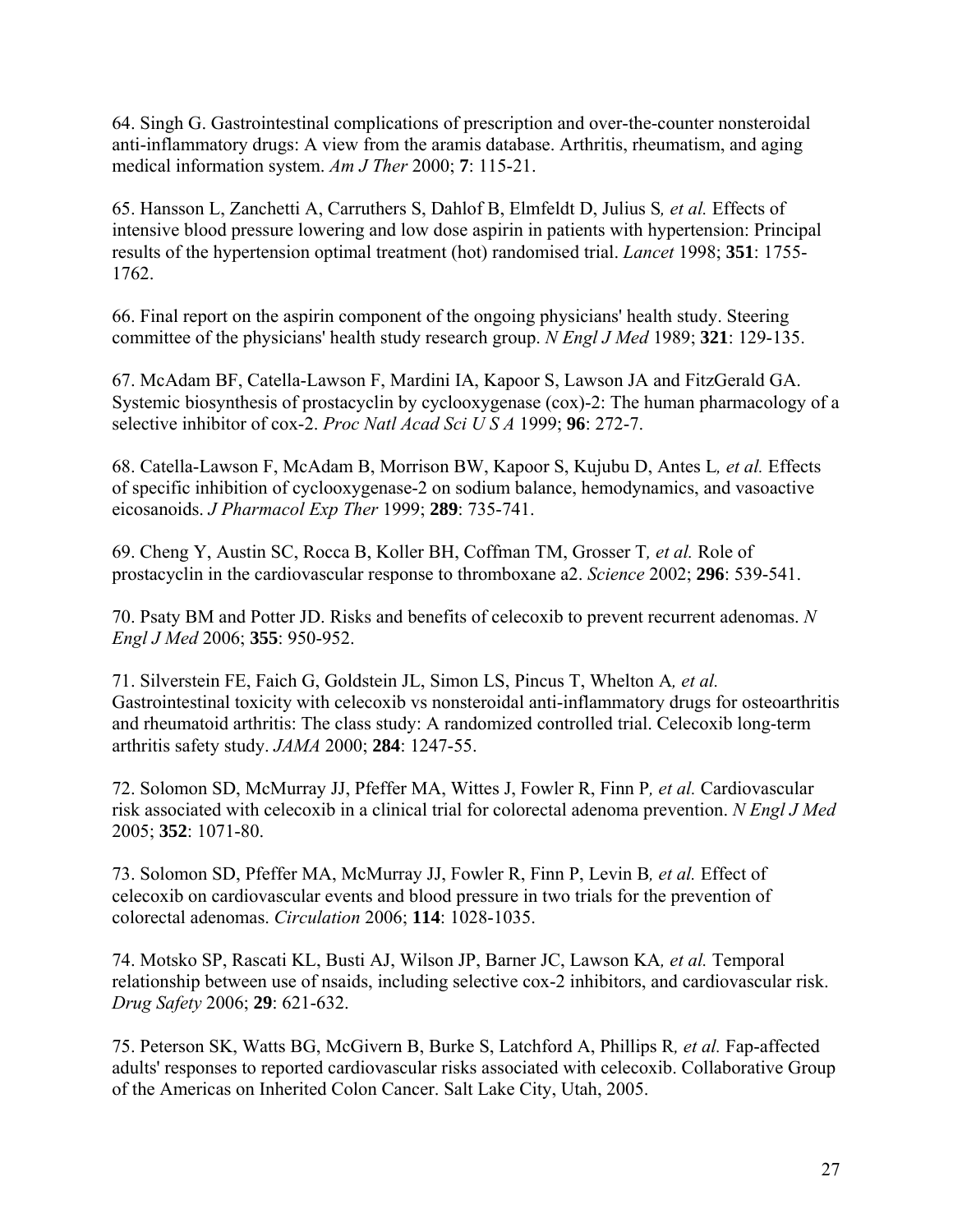64. Singh G. Gastrointestinal complications of prescription and over-the-counter nonsteroidal anti-inflammatory drugs: A view from the aramis database. Arthritis, rheumatism, and aging medical information system. *Am J Ther* 2000; **7**: 115-21.

65. Hansson L, Zanchetti A, Carruthers S, Dahlof B, Elmfeldt D, Julius S*, et al.* Effects of intensive blood pressure lowering and low dose aspirin in patients with hypertension: Principal results of the hypertension optimal treatment (hot) randomised trial. *Lancet* 1998; **351**: 1755- 1762.

66. Final report on the aspirin component of the ongoing physicians' health study. Steering committee of the physicians' health study research group. *N Engl J Med* 1989; **321**: 129-135.

67. McAdam BF, Catella-Lawson F, Mardini IA, Kapoor S, Lawson JA and FitzGerald GA. Systemic biosynthesis of prostacyclin by cyclooxygenase (cox)-2: The human pharmacology of a selective inhibitor of cox-2. *Proc Natl Acad Sci U S A* 1999; **96**: 272-7.

68. Catella-Lawson F, McAdam B, Morrison BW, Kapoor S, Kujubu D, Antes L*, et al.* Effects of specific inhibition of cyclooxygenase-2 on sodium balance, hemodynamics, and vasoactive eicosanoids. *J Pharmacol Exp Ther* 1999; **289**: 735-741.

69. Cheng Y, Austin SC, Rocca B, Koller BH, Coffman TM, Grosser T*, et al.* Role of prostacyclin in the cardiovascular response to thromboxane a2. *Science* 2002; **296**: 539-541.

70. Psaty BM and Potter JD. Risks and benefits of celecoxib to prevent recurrent adenomas. *N Engl J Med* 2006; **355**: 950-952.

71. Silverstein FE, Faich G, Goldstein JL, Simon LS, Pincus T, Whelton A*, et al.* Gastrointestinal toxicity with celecoxib vs nonsteroidal anti-inflammatory drugs for osteoarthritis and rheumatoid arthritis: The class study: A randomized controlled trial. Celecoxib long-term arthritis safety study. *JAMA* 2000; **284**: 1247-55.

72. Solomon SD, McMurray JJ, Pfeffer MA, Wittes J, Fowler R, Finn P*, et al.* Cardiovascular risk associated with celecoxib in a clinical trial for colorectal adenoma prevention. *N Engl J Med* 2005; **352**: 1071-80.

73. Solomon SD, Pfeffer MA, McMurray JJ, Fowler R, Finn P, Levin B*, et al.* Effect of celecoxib on cardiovascular events and blood pressure in two trials for the prevention of colorectal adenomas. *Circulation* 2006; **114**: 1028-1035.

74. Motsko SP, Rascati KL, Busti AJ, Wilson JP, Barner JC, Lawson KA*, et al.* Temporal relationship between use of nsaids, including selective cox-2 inhibitors, and cardiovascular risk. *Drug Safety* 2006; **29**: 621-632.

75. Peterson SK, Watts BG, McGivern B, Burke S, Latchford A, Phillips R*, et al.* Fap-affected adults' responses to reported cardiovascular risks associated with celecoxib. Collaborative Group of the Americas on Inherited Colon Cancer. Salt Lake City, Utah, 2005.